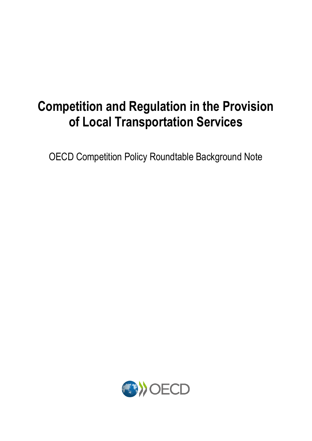### **Competition and Regulation in the Provision of Local Transportation Services**

OECD Competition Policy Roundtable Background Note

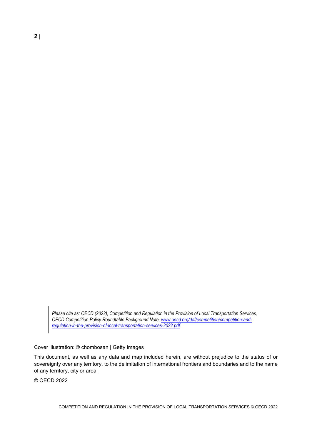*Please cite as: OECD (2022), Competition and Regulation in the Provision of Local Transportation Services, OECD Competition Policy Roundtable Background Note[, www.oecd.org/daf/competition/competition-and](http://www.oecd.org/daf/competition/competition-and-regulation-in-the-provision-of-local-transportation-services-2022.pdf)[regulation-in-the-provision-of-local-transportation-services-2022.pdf.](http://www.oecd.org/daf/competition/competition-and-regulation-in-the-provision-of-local-transportation-services-2022.pdf)* 

Cover illustration: © chombosan | Getty Images

This document, as well as any data and map included herein, are without prejudice to the status of or sovereignty over any territory, to the delimitation of international frontiers and boundaries and to the name of any territory, city or area.

© OECD 2022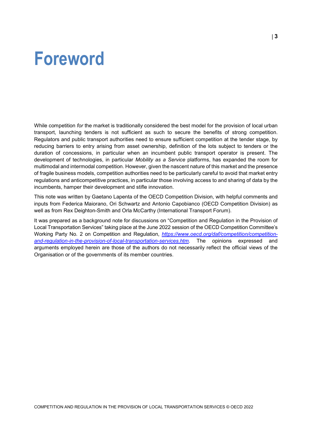### <span id="page-2-0"></span>**Foreword**

While competition *for* the market is traditionally considered the best model for the provision of local urban transport, launching tenders is not sufficient as such to secure the benefits of strong competition. Regulators and public transport authorities need to ensure sufficient competition at the tender stage, by reducing barriers to entry arising from asset ownership, definition of the lots subject to tenders or the duration of concessions, in particular when an incumbent public transport operator is present. The development of technologies, in particular *Mobility as a Service* platforms, has expanded the room for multimodal and intermodal competition. However, given the nascent nature of this market and the presence of fragile business models, competition authorities need to be particularly careful to avoid that market entry regulations and anticompetitive practices, in particular those involving access to and sharing of data by the incumbents, hamper their development and stifle innovation.

This note was written by Gaetano Lapenta of the OECD Competition Division, with helpful comments and inputs from Federica Maiorano, Ori Schwartz and Antonio Capobianco (OECD Competition Division) as well as from Rex Deighton-Smith and Orla McCarthy (International Transport Forum).

It was prepared as a background note for discussions on "Competition and Regulation in the Provision of Local Transportation Services" taking place at the June 2022 session of the OECD Competition Committee's Working Party No. 2 on Competition and Regulation, *[https://www.oecd.org/daf/competition/competition](https://www.oecd.org/daf/competition/competition-and-regulation-in-the-provision-of-local-transportation-services.htm)[and-regulation-in-the-provision-of-local-transportation-services.htm.](https://www.oecd.org/daf/competition/competition-and-regulation-in-the-provision-of-local-transportation-services.htm)* The opinions expressed and arguments employed herein are those of the authors do not necessarily reflect the official views of the Organisation or of the governments of its member countries.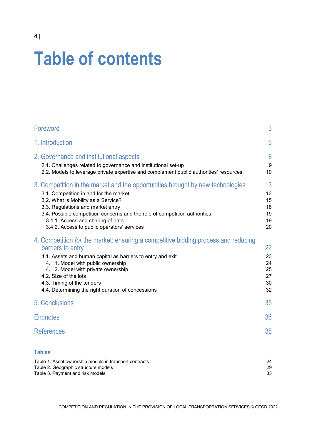## **Table of contents**

| Foreword                                                                                                                                                                                                                                                                                                                                                               | 3                                      |
|------------------------------------------------------------------------------------------------------------------------------------------------------------------------------------------------------------------------------------------------------------------------------------------------------------------------------------------------------------------------|----------------------------------------|
| 1. Introduction                                                                                                                                                                                                                                                                                                                                                        | 6                                      |
| 2. Governance and institutional aspects<br>2.1. Challenges related to governance and institutional set-up<br>2.2. Models to leverage private expertise and complement public authorities' resources                                                                                                                                                                    | 8<br>9<br>10                           |
| 3. Competition in the market and the opportunities brought by new technologies<br>3.1. Competition in and for the market<br>3.2. What is Mobility as a Service?<br>3.3. Regulations and market entry<br>3.4. Possible competition concerns and the role of competition authorities<br>3.4.1. Access and sharing of data<br>3.4.2. Access to public operators' services | 13<br>13<br>15<br>18<br>19<br>19<br>20 |
| 4. Competition for the market: ensuring a competitive bidding process and reducing<br>barriers to entry<br>4.1. Assets and human capital as barriers to entry and exit<br>4.1.1. Model with public ownership<br>4.1.2. Model with private ownership<br>4.2. Size of the lots<br>4.3. Timing of the tenders<br>4.4. Determining the right duration of concessions       | 22<br>23<br>24<br>25<br>27<br>30<br>32 |
| 5. Conclusions                                                                                                                                                                                                                                                                                                                                                         | 35                                     |
| <b>Endnotes</b>                                                                                                                                                                                                                                                                                                                                                        | 36                                     |
| <b>References</b>                                                                                                                                                                                                                                                                                                                                                      | 38                                     |
| <b>Tables</b>                                                                                                                                                                                                                                                                                                                                                          |                                        |
| Table 1. Asset ownership models in transport contracts                                                                                                                                                                                                                                                                                                                 | 24                                     |

| Table 1. Asset ownership models in transport contracts |     |
|--------------------------------------------------------|-----|
| Table 2. Geographic structure models                   | 29. |
| Table 3. Payment and risk models                       | 33  |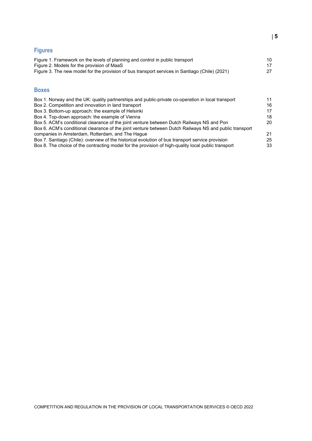#### **Figures**

| Figure 1. Framework on the levels of planning and control in public transport<br>Figure 2. Models for the provision of MaaS<br>Figure 3. The new model for the provision of bus transport services in Santiago (Chile) (2021) | 10<br>17<br>27 |
|-------------------------------------------------------------------------------------------------------------------------------------------------------------------------------------------------------------------------------|----------------|
| <b>Boxes</b>                                                                                                                                                                                                                  |                |
| Box 1. Norway and the UK: quality partnerships and public-private co-operation in local transport                                                                                                                             | 11             |
| Box 2. Competition and innovation in land transport                                                                                                                                                                           | 16             |
| Box 3. Bottom-up approach: the example of Helsinki                                                                                                                                                                            | 17             |
| Box 4. Top-down approach: the example of Vienna                                                                                                                                                                               | 18             |
| Box 5. ACM's conditional clearance of the joint venture between Dutch Railways NS and Pon                                                                                                                                     | 20             |
| Box 6. ACM's conditional clearance of the joint venture between Dutch Railways NS and public transport                                                                                                                        |                |
| companies in Amsterdam, Rotterdam, and The Haque                                                                                                                                                                              | 21             |
| Box 7. Santiago (Chile): overview of the historical evolution of bus transport service provision                                                                                                                              | 25             |

Box [8. The choice of the contracting model for the provision of high-quality local public transport](#page-32-1) 33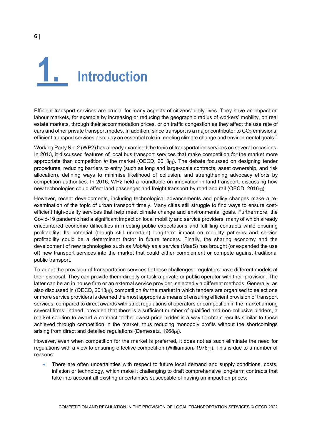<span id="page-5-0"></span>

Efficient transport services are crucial for many aspects of citizens' daily lives. They have an impact on labour markets, for example by increasing or reducing the geographic radius of workers' mobility, on real estate markets, through their accommodation prices, or on traffic congestion as they affect the use rate of cars and other private transport modes. In addition, since transport is a major contributor to  $CO<sub>2</sub>$  emissions, efficient transport services also play an essential role in meeting climate change and environmental goals. $^{\rm 1}$  $^{\rm 1}$  $^{\rm 1}$ 

Working Party No. 2 (WP2) has already examined the topic of transportation services on several occasions. In 2013, it discussed features of local bus transport services that make competition *for* the market more appropriate than competition *in* the market (OECD, 2013[1]). The debate focussed on designing tender procedures, reducing barriers to entry (such as long and large-scale contracts, asset ownership, and risk allocation), defining ways to minimise likelihood of collusion, and strengthening advocacy efforts by competition authorities. In 2016, WP2 held a roundtable on innovation in land transport, discussing how new technologies could affect land passenger and freight transport by road and rail (OECD, 2016<sub>[2]</sub>).

However, recent developments, including technological advancements and policy changes make a reexamination of the topic of urban transport timely. Many cities still struggle to find ways to ensure costefficient high-quality services that help meet climate change and environmental goals. Furthermore, the Covid-19 pandemic had a significant impact on local mobility and service providers, many of which already encountered economic difficulties in meeting public expectations and fulfilling contracts while ensuring profitability. Its potential (though still uncertain) long-term impact on mobility patterns and service profitability could be a determinant factor in future tenders. Finally, the sharing economy and the development of new technologies such as *Mobility as a service* (MaaS) has brought (or expanded the use of) new transport services into the market that could either complement or compete against traditional public transport.

To adapt the provision of transportation services to these challenges, regulators have different models at their disposal. They can provide them directly or task a private or public operator with their provision. The latter can be an in house firm or an external service provider, selected via different methods. Generally, as also discussed in (OECD, 2013[1]), competition *for* the market in which tenders are organised to select one or more service providers is deemed the most appropriate means of ensuring efficient provision of transport services, compared to direct awards with strict regulations of operators or competition in the market among several firms. Indeed, provided that there is a sufficient number of qualified and non-collusive bidders, a market solution to award a contract to the lowest price bidder is a way to obtain results similar to those achieved through competition in the market, thus reducing monopoly profits without the shortcomings arising from direct and detailed regulations (Demesetz, 1968[3]).

However, even when competition for the market is preferred, it does not as such eliminate the need for regulations with a view to ensuring effective competition (Williamson, 1976<sub>[4]</sub>). This is due to a number of reasons:

• There are often uncertainties with respect to future local demand and supply conditions, costs, inflation or technology, which make it challenging to draft comprehensive long-term contracts that take into account all existing uncertainties susceptible of having an impact on prices;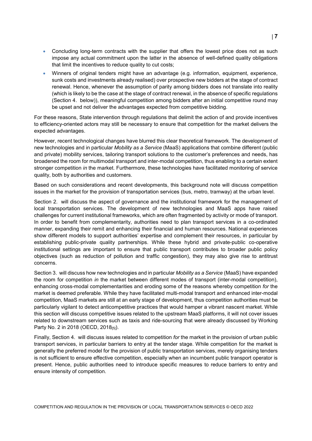- Concluding long-term contracts with the supplier that offers the lowest price does not as such impose any actual commitment upon the latter in the absence of well-defined quality obligations that limit the incentives to reduce quality to cut costs;
- Winners of original tenders might have an advantage (e.g. information, equipment, experience, sunk costs and investments already realised) over prospective new bidders at the stage of contract renewal. Hence, whenever the assumption of parity among bidders does not translate into reality (which is likely to be the case at the stage of contract renewal, in the absence of specific regulations (Section [4.](#page-21-0) below)), meaningful competition among bidders after an initial competitive round may be upset and not deliver the advantages expected from competitive bidding.

For these reasons, State intervention through regulations that delimit the action of and provide incentives to efficiency-oriented actors may still be necessary to ensure that competition for the market delivers the expected advantages.

However, recent technological changes have blurred this clear theoretical framework. The development of new technologies and in particular *Mobility as a Service* (MaaS) applications that combine different (public and private) mobility services, tailoring transport solutions to the customer's preferences and needs, has broadened the room for multimodal transport and inter-modal competition, thus enabling to a certain extent stronger competition *in* the market. Furthermore, these technologies have facilitated monitoring of service quality, both by authorities and customers.

Based on such considerations and recent developments, this background note will discuss competition issues in the market for the provision of transportation services (bus, metro, tramway) at the urban level.

Section [2.](#page-7-0) will discuss the aspect of governance and the institutional framework for the management of local transportation services. The development of new technologies and MaaS apps have raised challenges for current institutional frameworks, which are often fragmented by activity or mode of transport. In order to benefit from complementarity, authorities need to plan transport services in a co-ordinated manner, expanding their remit and enhancing their financial and human resources. National experiences show different models to support authorities' expertise and complement their resources, in particular by establishing public-private quality partnerships. While these hybrid and private-public co-operative institutional settings are important to ensure that public transport contributes to broader public policy objectives (such as reduction of pollution and traffic congestion), they may also give rise to antitrust concerns.

Sectio[n 3.](#page-12-0) will discuss how new technologies and in particular *Mobility as a Service* (MaaS) have expanded the room for competition *in* the market between different modes of transport (inter-modal competition), enhancing cross-modal complementarities and eroding some of the reasons whereby competition *for* the market is deemed preferable. While they have facilitated multi-modal transport and enhanced inter-modal competition, MaaS markets are still at an early stage of development, thus competition authorities must be particularly vigilant to detect anticompetitive practices that would hamper a vibrant nascent market. While this section will discuss competitive issues related to the upstream MaaS platforms, it will not cover issues related to downstream services such as taxis and ride-sourcing that were already discussed by Working Party No. 2 in 2018 (OECD, 2018[5]).

Finally, Section [4.](#page-21-0) will discuss issues related to competition *for* the market in the provision of urban public transport services, in particular barriers to entry at the tender stage. While competition for the market is generally the preferred model for the provision of public transportation services, merely organising tenders is not sufficient to ensure effective competition, especially when an incumbent public transport operator is present. Hence, public authorities need to introduce specific measures to reduce barriers to entry and ensure intensity of competition.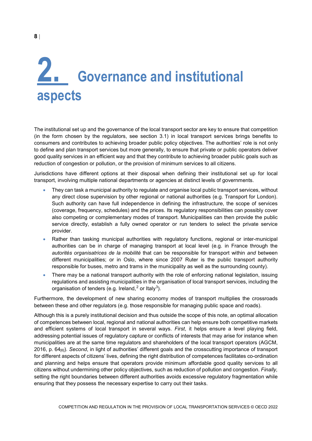### <span id="page-7-0"></span>**2. Governance and institutional aspects**

The institutional set up and the governance of the local transport sector are key to ensure that competition (in the form chosen by the regulators, see section [3.1\)](#page-12-1) in local transport services brings benefits to consumers and contributes to achieving broader public policy objectives. The authorities' role is not only to define and plan transport services but more generally, to ensure that private or public operators deliver good quality services in an efficient way and that they contribute to achieving broader public goals such as reduction of congestion or pollution, or the provision of minimum services to all citizens.

Jurisdictions have different options at their disposal when defining their institutional set up for local transport, involving multiple national departments or agencies at distinct levels of governments.

- They can task a municipal authority to regulate and organise local public transport services, without any direct close supervision by other regional or national authorities (e.g. Transport for London). Such authority can have full independence in defining the infrastructure, the scope of services (coverage, frequency, schedules) and the prices. Its regulatory responsibilities can possibly cover also competing or complementary modes of transport. Municipalities can then provide the public service directly, establish a fully owned operator or run tenders to select the private service provider.
- Rather than tasking municipal authorities with regulatory functions, regional or inter-municipal authorities can be in charge of managing transport at local level (e.g. in France through the *autorités organisatrices de la mobilité* that can be responsible for transport within *and* between different municipalities; or in Oslo, where since 2007 Ruter is the public transport authority responsible for buses, metro and trams in the municipality as well as the surrounding county).
- There may be a national transport authority with the role of enforcing national legislation, issuing regulations and assisting municipalities in the organisation of local transport services, including the organisation of tenders (e.g. Ireland, $^2$  $^2$  or Italy $^3$  $^3$ ).

Furthermore, the development of new sharing economy modes of transport multiplies the crossroads between these and other regulators (e.g. those responsible for managing public space and roads).

Although this is a purely institutional decision and thus outside the scope of this note, an optimal allocation of competences between local, regional and national authorities can help ensure both competitive markets and efficient systems of local transport in several ways. *First*, it helps ensure a level playing field, addressing potential issues of regulatory capture or conflicts of interests that may arise for instance when municipalities are at the same time regulators and shareholders of the local transport operators (AGCM, 2016, p. 64[6]). *Second*, in light of authorities' different goals and the crosscutting importance of transport for different aspects of citizens' lives, defining the right distribution of competences facilitates co-ordination and planning and helps ensure that operators provide minimum affordable good quality services to all citizens without undermining other policy objectives, such as reduction of pollution and congestion. *Finally,*  setting the right boundaries between different authorities avoids excessive regulatory fragmentation while ensuring that they possess the necessary expertise to carry out their tasks.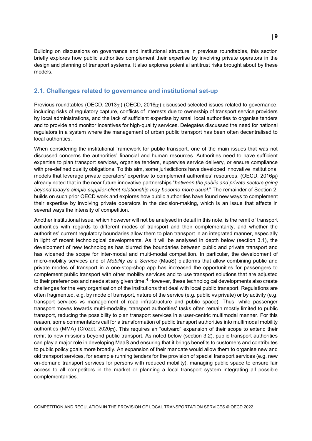Building on discussions on governance and institutional structure in previous roundtables, this section briefly explores how public authorities complement their expertise by involving private operators in the design and planning of transport systems. It also explores potential antitrust risks brought about by these models.

#### <span id="page-8-0"></span>**2.1. Challenges related to governance and institutional set-up**

Previous roundtables (OECD, 2013[1]) (OECD, 2016[2]) discussed selected issues related to governance, including risks of regulatory capture, conflicts of interests due to ownership of transport service providers by local administrations, and the lack of sufficient expertise by small local authorities to organise tenders and to provide and monitor incentives for high-quality services. Delegates discussed the need for national regulators in a system where the management of urban public transport has been often decentralised to local authorities.

When considering the institutional framework for public transport, one of the main issues that was not discussed concerns the authorities' financial and human resources. Authorities need to have sufficient expertise to plan transport services, organise tenders, supervise service delivery, or ensure compliance with pre-defined quality obligations. To this aim, some jurisdictions have developed innovative institutional models that leverage private operators' expertise to complement authorities' resources. (OECD, 2016[2]) already noted that in the near future innovative partnerships "*between the public and private sectors going beyond today's simple supplier-client relationship may become more usual*." The remainder of Section [2.](#page-7-0)  builds on such prior OECD work and explores how public authorities have found new ways to complement their expertise by involving private operators in the decision-making, which is an issue that affects in several ways the intensity of competition.

Another institutional issue, which however will not be analysed in detail in this note, is the remit of transport authorities with regards to different modes of transport and their complementarity, and whether the authorities' current regulatory boundaries allow them to plan transport in an integrated manner, especially in light of recent technological developments. As it will be analysed in depth below (section [3.1\)](#page-12-1), the development of new technologies has blurred the boundaries between public and private transport and has widened the scope for inter-modal and multi-modal competition. In particular, the development of micro-mobility services and of *Mobility as a Service* (MaaS) platforms that allow combining public and private modes of transport in a one-stop-shop app has increased the opportunities for passengers to complement public transport with other mobility services and to use transport solutions that are adjusted to their preferences and needs at any given time.<sup>[4](#page-35-4)</sup> However, these technological developments also create challenges for the very organisation of the institutions that deal with local public transport. Regulations are often fragmented, e.g. by mode of transport, nature of the service (e.g. public vs private) or by activity (e.g. transport services vs management of road infrastructure and public space). Thus, while passenger transport moves towards multi-modality, transport authorities' tasks often remain mostly limited to public transport, reducing the possibility to plan transport services in a user-centric multimodal manner. For this reason, some commentators call for a transformation of public transport authorities into multimodal mobility authorities (MMA) (Crozet, 2020 $\eta$ ). This requires an "outward" expansion of their scope to extend their remit to new missions beyond public transport. As noted below (section [3.2\)](#page-14-0), public transport authorities can play a major role in developing MaaS and ensuring that it brings benefits to customers and contributes to public policy goals more broadly. An expansion of their mandate would allow them to organise new and old transport services, for example running tenders for the provision of special transport services (e.g. new on-demand transport services for persons with reduced mobility), managing public space to ensure fair access to all competitors in the market or planning a local transport system integrating all possible complementarities.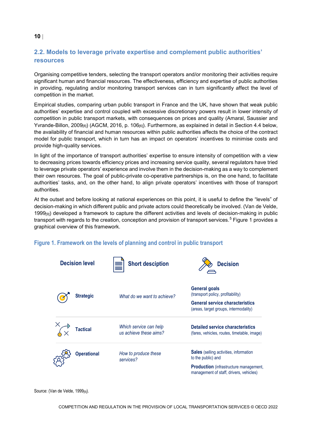#### <span id="page-9-0"></span>**2.2. Models to leverage private expertise and complement public authorities' resources**

Organising competitive tenders, selecting the transport operators and/or monitoring their activities require significant human and financial resources. The effectiveness, efficiency and expertise of public authorities in providing, regulating and/or monitoring transport services can in turn significantly affect the level of competition in the market.

Empirical studies, comparing urban public transport in France and the UK, have shown that weak public authorities' expertise and control coupled with excessive discretionary powers result in lower intensity of competition in public transport markets, with consequences on prices and quality (Amaral, Saussier and Yvrande-Billon, 2009[8]) (AGCM, 2016, p. 106[6]). Furthermore, as explained in detail in Section [4.4 below,](#page-31-0) the availability of financial and human resources within public authorities affects the choice of the contract model for public transport, which in turn has an impact on operators' incentives to minimise costs and provide high-quality services.

In light of the importance of transport authorities' expertise to ensure intensity of competition with a view to decreasing prices towards efficiency prices and increasing service quality, several regulators have tried to leverage private operators' experience and involve them in the decision-making as a way to complement their own resources. The goal of public-private co-operative partnerships is, on the one hand, to facilitate authorities' tasks, and, on the other hand, to align private operators' incentives with those of transport authorities.

At the outset and before looking at national experiences on this point, it is useful to define the "levels" of decision-making in which different public and private actors could theoretically be involved. (Van de Velde, 1999<sub>[9]</sub>) developed a framework to capture the different activities and levels of decision-making in public transport with regards to the creation, conception and provision of transport services.<sup>[5](#page-35-5)</sup> [Figure](#page-9-1) 1 provides a graphical overview of this framework.



#### <span id="page-9-1"></span>**Figure 1. Framework on the levels of planning and control in public transport**

Source: (Van de Velde, 1999[9]).

#### **10** |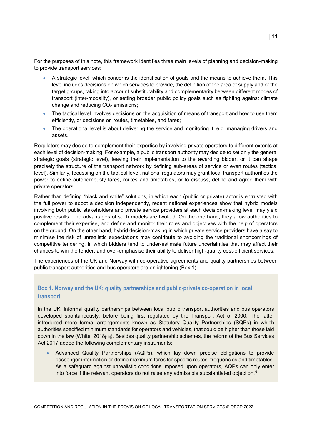For the purposes of this note, this framework identifies three main levels of planning and decision-making to provide transport services:

- A strategic level, which concerns the identification of goals and the means to achieve them. This level includes decisions on which services to provide, the definition of the area of supply and of the target groups, taking into account substitutability and complementarity between different modes of transport (inter-modality), or setting broader public policy goals such as fighting against climate change and reducing  $CO<sub>2</sub>$  emissions;
- The tactical level involves decisions on the acquisition of means of transport and how to use them efficiently, or decisions on routes, timetables, and fares;
- The operational level is about delivering the service and monitoring it, e.g. managing drivers and assets.

Regulators may decide to complement their expertise by involving private operators to different extents at each level of decision-making. For example, a public transport authority may decide to set only the general strategic goals (strategic level), leaving their implementation to the awarding bidder, or it can shape precisely the structure of the transport network by defining sub-areas of service or even routes (tactical level). Similarly, focussing on the tactical level, national regulators may grant local transport authorities the power to define autonomously fares, routes and timetables, or to discuss, define and agree them with private operators.

Rather than defining "black and white" solutions, in which each (public or private) actor is entrusted with the full power to adopt a decision independently, recent national experiences show that hybrid models involving both public stakeholders and private service providers at each decision-making level may yield positive results. The advantages of such models are twofold. On the one hand, they allow authorities to complement their expertise, and define and monitor their roles and objectives with the help of operators on the ground. On the other hand, hybrid decision-making in which private service providers have a say to minimise the risk of unrealistic expectations may contribute to avoiding the traditional shortcomings of competitive tendering, in which bidders tend to under-estimate future uncertainties that may affect their chances to win the tender, and over-emphasise their ability to deliver high-quality cost-efficient services.

The experiences of the UK and Norway with co-operative agreements and quality partnerships between public transport authorities and bus operators are enlightening [\(Box](#page-10-0) 1).

#### <span id="page-10-0"></span>**Box 1. Norway and the UK: quality partnerships and public-private co-operation in local transport**

In the UK, informal quality partnerships between local public transport authorities and bus operators developed spontaneously, before being first regulated by the Transport Act of 2000. The latter introduced more formal arrangements known as Statutory Quality Partnerships (SQPs) in which authorities specified minimum standards for operators and vehicles, that could be higher than those laid down in the law (White,  $2018_{[10]}$ ). Besides quality partnership schemes, the reform of the Bus Services Act 2017 added the following complementary instruments:

• Advanced Quality Partnerships (AQPs), which lay down precise obligations to provide passenger information or define maximum fares for specific routes, frequencies and timetables. As a safeguard against unrealistic conditions imposed upon operators, AQPs can only enter into force if the relevant operators do not raise any admissible substantiated objection.<sup>[6](#page-35-6)</sup>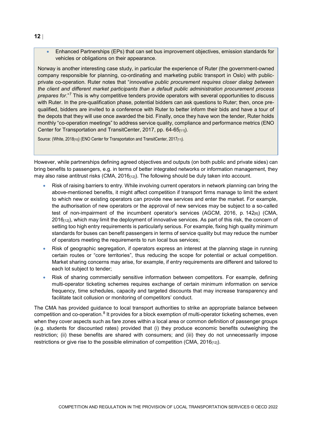• Enhanced Partnerships (EPs) that can set bus improvement objectives, emission standards for vehicles or obligations on their appearance.

Norway is another interesting case study, in particular the experience of Ruter (the government-owned company responsible for planning, co-ordinating and marketing public transport in Oslo) with publicprivate co-operation. Ruter notes that "*innovative public procurement requires closer dialog between the client and different market participants than a default public administration procurement process prepares for*."[7](#page-35-7) This is why competitive tenders provide operators with several opportunities to discuss with Ruter. In the pre-qualification phase, potential bidders can ask questions to Ruter; then, once prequalified, bidders are invited to a conference with Ruter to better inform their bids and have a tour of the depots that they will use once awarded the bid. Finally, once they have won the tender, Ruter holds monthly "co-operation meetings" to address service quality, compliance and performance metrics (ENO Center for Transportation and TransitCenter, 2017, pp. 64-65<sub>[11]</sub>).

Source: (White, 2018<sub>[10]</sub>) (ENO Center for Transportation and TransitCenter, 2017<sub>[11]</sub>).

However, while partnerships defining agreed objectives and outputs (on both public and private sides) can bring benefits to passengers, e.g. in terms of better integrated networks or information management, they may also raise antitrust risks (CMA, 2016 $_{[12]}$ ). The following should be duly taken into account.

- Risk of raising barriers to entry. While involving current operators in network planning can bring the above-mentioned benefits, it might affect competition if transport firms manage to limit the extent to which new or existing operators can provide new services and enter the market. For example, the authorisation of new operators or the approval of new services may be subject to a so-called test of non-impairment of the incumbent operator's services (AGCM, 2016, p.  $142_{[6]}$ ) (CMA,  $2016_{[12]}$ ), which may limit the deployment of innovative services. As part of this risk, the concern of setting too high entry requirements is particularly serious. For example, fixing high quality minimum standards for buses can benefit passengers in terms of service quality but may reduce the number of operators meeting the requirements to run local bus services;
- Risk of geographic segregation, if operators express an interest at the planning stage in running certain routes or "core territories", thus reducing the scope for potential or actual competition. Market sharing concerns may arise, for example, if entry requirements are different and tailored to each lot subject to tender;
- Risk of sharing commercially sensitive information between competitors. For example, defining multi-operator ticketing schemes requires exchange of certain minimum information on service frequency, time schedules, capacity and targeted discounts that may increase transparency and facilitate tacit collusion or monitoring of competitors' conduct.

The CMA has provided guidance to local transport authorities to strike an appropriate balance between competition and co-operation.<sup>[8](#page-35-8)</sup> It provides for a block exemption of multi-operator ticketing schemes, even when they cover aspects such as fare zones within a local area or common definition of passenger groups (e.g. students for discounted rates) provided that (i) they produce economic benefits outweighing the restriction; (ii) these benefits are shared with consumers; and (iii) they do not unnecessarily impose restrictions or give rise to the possible elimination of competition (CMA,  $2016_{[12]}$ ).

**12** |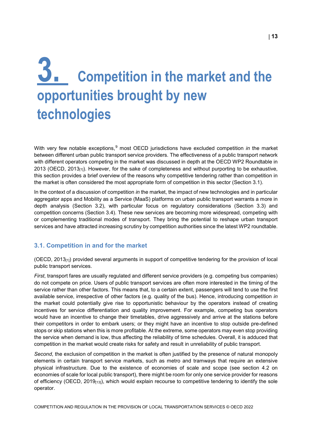### <span id="page-12-0"></span>**3. Competition in the market and the opportunities brought by new technologies**

With very few notable exceptions, <sup>[9](#page-35-9)</sup> most OECD jurisdictions have excluded competition *in* the market between different urban public transport service providers. The effectiveness of a public transport network with different operators competing in the market was discussed in depth at the OECD WP2 Roundtable in 2013 (OECD, 2013 $_{[1]}$ ). However, for the sake of completeness and without purporting to be exhaustive, this section provides a brief overview of the reasons why competitive tendering rather than competition in the market is often considered the most appropriate form of competition in this sector (Section [3.1\)](#page-12-1).

In the context of a discussion of competition *in* the market, the impact of new technologies and in particular aggregator apps and Mobility as a Service (MaaS) platforms on urban public transport warrants a more in depth analysis (Section [3.2\)](#page-14-0), with particular focus on regulatory considerations (Section [3.3\)](#page-17-0) and competition concerns (Section [3.4\)](#page-18-0). These new services are becoming more widespread, competing with or complementing traditional modes of transport. They bring the potential to reshape urban transport services and have attracted increasing scrutiny by competition authorities since the latest WP2 roundtable.

#### <span id="page-12-1"></span>**3.1. Competition in and for the market**

(OECD, 2013[1]) provided several arguments in support of competitive tendering for the provision of local public transport services.

*First*, transport fares are usually regulated and different service providers (e.g. competing bus companies) do not compete on price. Users of public transport services are often more interested in the timing of the service rather than other factors. This means that, to a certain extent, passengers will tend to use the first available service, irrespective of other factors (e.g. quality of the bus). Hence, introducing competition *in*  the market could potentially give rise to opportunistic behaviour by the operators instead of creating incentives for service differentiation and quality improvement. For example, competing bus operators would have an incentive to change their timetables, drive aggressively and arrive at the stations before their competitors in order to embark users; or they might have an incentive to stop outside pre-defined stops or skip stations when this is more profitable. At the extreme, some operators may even stop providing the service when demand is low, thus affecting the reliability of time schedules. Overall, it is adduced that competition in the market would create risks for safety and result in unreliability of public transport.

*Second*, the exclusion of competition in the market is often justified by the presence of natural monopoly elements in certain transport service markets, such as metro and tramways that require an extensive physical infrastructure. Due to the existence of economies of scale and scope (see section [4.2](#page-26-0) on economies of scale for local public transport), there might be room for only one service provider for reasons of efficiency (OECD, 2019 $_{[13]}$ ), which would explain recourse to competitive tendering to identify the sole operator.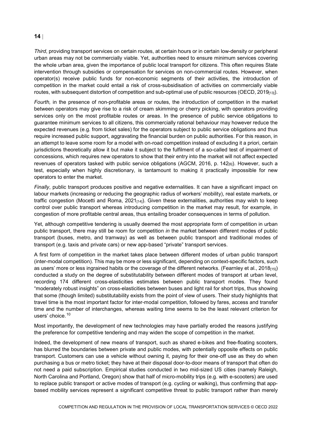#### **14** |

*Third*, providing transport services on certain routes, at certain hours or in certain low-density or peripheral urban areas may not be commercially viable. Yet, authorities need to ensure minimum services covering the whole urban area, given the importance of public local transport for citizens. This often requires State intervention through subsidies or compensation for services on non-commercial routes. However, when operator(s) receive public funds for non-economic segments of their activities, the introduction of competition in the market could entail a risk of cross-subsidisation of activities on commercially viable routes, with subsequent distortion of competition and sub-optimal use of public resources (OECD, 2019<sub>[13]</sub>).

*Fourth,* in the presence of non-profitable areas or routes, the introduction of competition in the market between operators may give rise to a risk of cream skimming or cherry picking, with operators providing services only on the most profitable routes or areas. In the presence of public service obligations to guarantee minimum services to all citizens, this commercially rational behaviour may however reduce the expected revenues (e.g. from ticket sales) for the operators subject to public service obligations and thus require increased public support, aggravating the financial burden on public authorities. For this reason, in an attempt to leave some room for a model with on-road competition instead of excluding it a priori, certain jurisdictions theoretically allow it but make it subject to the fulfilment of a so-called test of impairment of concessions, which requires new operators to show that their entry into the market will not affect expected revenues of operators tasked with public service obligations (AGCM, 2016, p. 142<sub>[6]</sub>). However, such a test, especially when highly discretionary, is tantamount to making it practically impossible for new operators to enter the market.

*Finally*, public transport produces positive and negative externalities. It can have a significant impact on labour markets (increasing or reducing the geographic radius of workers' mobility), real estate markets, or traffic congestion (Mocetti and Roma,  $2021_{[14]}$ ). Given these externalities, authorities may wish to keep control over public transport whereas introducing competition in the market may result, for example, in congestion of more profitable central areas, thus entailing broader consequences in terms of pollution.

Yet, although competitive tendering is usually deemed the most appropriate form of competition in urban public transport, there may still be room for competition *in* the market between different modes of public transport (buses, metro, and tramway) as well as between public transport and traditional modes of transport (e.g. taxis and private cars) or new app-based "private" transport services.

A first form of competition in the market takes place between different modes of urban public transport (inter-modal competition). This may be more or less significant, depending on context-specific factors, such as users' more or less ingrained habits or the coverage of the different networks. (Fearnley et al., 2018 $_{[15]}$ ) conducted a study on the degree of substitutability between different modes of transport at urban level, recording 174 different cross-elasticities estimates between public transport modes. They found "moderately robust insights" on cross-elasticities between buses and light rail for short trips, thus showing that some (though limited) substitutability exists from the point of view of users. Their study highlights that travel time is the most important factor for inter-modal competition, followed by fares, access and transfer time and the number of interchanges, whereas waiting time seems to be the least relevant criterion for users' choice.<sup>[10](#page-35-10)</sup>

Most importantly, the development of new technologies may have partially eroded the reasons justifying the preference for competitive tendering and may widen the scope of competition in the market.

Indeed, the development of new means of transport, such as shared e-bikes and free-floating scooters, has blurred the boundaries between private and public modes, with potentially opposite effects on public transport. Customers can use a vehicle without owning it, paying for their one-off use as they do when purchasing a bus or metro ticket; they have at their disposal door-to-door means of transport that often do not need a paid subscription. Empirical studies conducted in two mid-sized US cities (namely Raleigh, North Carolina and Portland, Oregon) show that half of micro-mobility trips (e.g. with e-scooters) are used to replace public transport or active modes of transport (e.g. cycling or walking), thus confirming that appbased mobility services represent a significant competitive threat to public transport rather than merely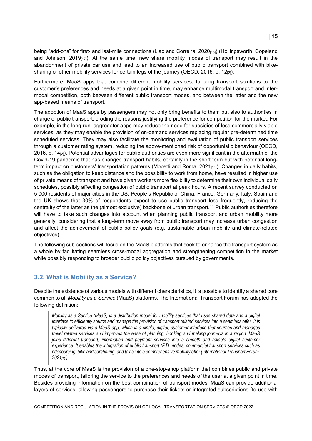being "add-ons" for first- and last-mile connections (Liao and Correira, 2020<sub>[16]</sub>) (Hollingsworth, Copeland and Johnson, 2019 $_{17}$ ). At the same time, new share mobility modes of transport may result in the abandonment of private car use and lead to an increased use of public transport combined with bikesharing or other mobility services for certain legs of the journey (OECD, 2016, p. 12 $_{[2]}$ ).

Furthermore, MaaS apps that combine different mobility services, tailoring transport solutions to the customer's preferences and needs at a given point in time, may enhance multimodal transport and intermodal competition, both between different public transport modes, and between the latter and the new app-based means of transport.

The adoption of MaaS apps by passengers may not only bring benefits to them but also to authorities in charge of public transport, eroding the reasons justifying the preference for competition for the market. For example, in the long-run, aggregator apps may reduce the need for subsidies of less commercially viable services, as they may enable the provision of on-demand services replacing regular pre-determined time scheduled services. They may also facilitate the monitoring and evaluation of public transport services through a customer rating system, reducing the above-mentioned risk of opportunistic behaviour (OECD, 2016, p. 14[2]). Potential advantages for public authorities are even more significant in the aftermath of the Covid-19 pandemic that has changed transport habits, certainly in the short term but with potential longterm impact on customers' transportation patterns (Mocetti and Roma,  $2021_{[14]}$ ). Changes in daily habits, such as the obligation to keep distance and the possibility to work from home, have resulted in higher use of private means of transport and have given workers more flexibility to determine their own individual daily schedules, possibly affecting congestion of public transport at peak hours. A recent survey conducted on 5 000 residents of major cities in the US, People's Republic of China, France, Germany, Italy, Spain and the UK shows that 30% of respondents expect to use public transport less frequently, reducing the centrality of the latter as the (almost exclusive) backbone of urban transport.<sup>[11](#page-35-11)</sup> Public authorities therefore will have to take such changes into account when planning public transport and urban mobility more generally, considering that a long-term move away from public transport may increase urban congestion and affect the achievement of public policy goals (e.g. sustainable urban mobility and climate-related objectives).

The following sub-sections will focus on the MaaS platforms that seek to enhance the transport system as a whole by facilitating seamless cross-modal aggregation and strengthening competition in the market while possibly responding to broader public policy objectives pursued by governments.

#### <span id="page-14-0"></span>**3.2. What is Mobility as a Service?**

Despite the existence of various models with different characteristics, it is possible to identify a shared core common to all *Mobility as a Service* (MaaS) platforms. The International Transport Forum has adopted the following definition:

*Mobility as a Service (MaaS) is a distribution model for mobility services that uses shared data and a digital interface to efficiently source and manage the provision of transport related services into a seamless offer. It is typically delivered via a MaaS app, which is a single, digital, customer interface that sources and manages travel related services and improves the ease of planning, booking and making journeys in a region. MaaS joins different transport, information and payment services into a smooth and reliable digital customer experience. It enables the integration of public transport (PT) modes, commercial transport services such as ridesourcing, bike and carsharing, and taxis into a comprehensive mobility offer (International Transport Forum, 2021[18]).*

Thus, at the core of MaaS is the provision of a one-stop-shop platform that combines public and private modes of transport, tailoring the service to the preferences and needs of the user at a given point in time. Besides providing information on the best combination of transport modes, MaaS can provide additional layers of services, allowing passengers to purchase their tickets or integrated subscriptions (to use with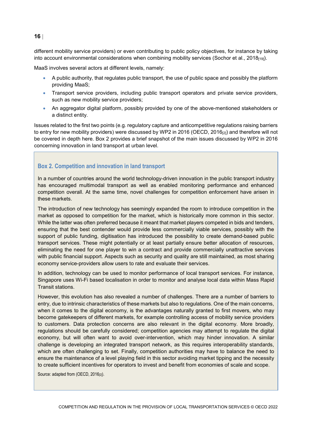#### **16** |

different mobility service providers) or even contributing to public policy objectives, for instance by taking into account environmental considerations when combining mobility services (Sochor et al., 2018[19]).

MaaS involves several actors at different levels, namely:

- A public authority, that regulates public transport, the use of public space and possibly the platform providing MaaS;
- Transport service providers, including public transport operators and private service providers, such as new mobility service providers;
- An aggregator digital platform, possibly provided by one of the above-mentioned stakeholders or a distinct entity.

Issues related to the first two points (e.g. regulatory capture and anticompetitive regulations raising barriers to entry for new mobility providers) were discussed by WP2 in 2016 (OECD, 2016<sub>[2]</sub>) and therefore will not be covered in depth here. [Box](#page-15-0) 2 provides a brief snapshot of the main issues discussed by WP2 in 2016 concerning innovation in land transport at urban level.

#### <span id="page-15-0"></span>**Box 2. Competition and innovation in land transport**

In a number of countries around the world technology-driven innovation in the public transport industry has encouraged multimodal transport as well as enabled monitoring performance and enhanced competition overall. At the same time, novel challenges for competition enforcement have arisen in these markets.

The introduction of new technology has seemingly expanded the room to introduce competition in the market as opposed to competition for the market, which is historically more common in this sector. While the latter was often preferred because it meant that market players competed in bids and tenders, ensuring that the best contender would provide less commercially viable services, possibly with the support of public funding, digitisation has introduced the possibility to create demand-based public transport services. These might potentially or at least partially ensure better allocation of resources, eliminating the need for one player to win a contract and provide commercially unattractive services with public financial support. Aspects such as security and quality are still maintained, as most sharing economy service-providers allow users to rate and evaluate their services.

In addition, technology can be used to monitor performance of local transport services. For instance, Singapore uses Wi-Fi based localisation in order to monitor and analyse local data within Mass Rapid Transit stations.

However, this evolution has also revealed a number of challenges. There are a number of barriers to entry, due to intrinsic characteristics of these markets but also to regulations. One of the main concerns, when it comes to the digital economy, is the advantages naturally granted to first movers, who may become gatekeepers of different markets, for example controlling access of mobility service providers to customers. Data protection concerns are also relevant in the digital economy. More broadly, regulations should be carefully considered; competition agencies may attempt to regulate the digital economy, but will often want to avoid over-intervention, which may hinder innovation. A similar challenge is developing an integrated transport network, as this requires interoperability standards, which are often challenging to set. Finally, competition authorities may have to balance the need to ensure the maintenance of a level playing field in this sector avoiding market tipping and the necessity to create sufficient incentives for operators to invest and benefit from economies of scale and scope.

Source: adapted from (OECD, 2016<sub>[2]</sub>).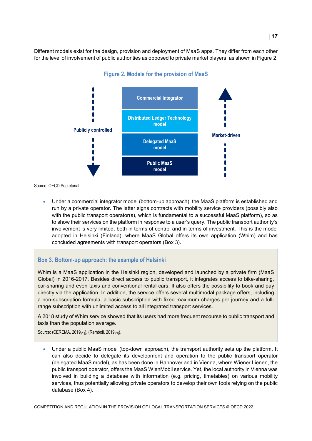<span id="page-16-0"></span>Different models exist for the design, provision and deployment of MaaS apps. They differ from each other for the level of involvement of public authorities as opposed to private market players, as shown i[n Figure](#page-16-0) 2.



**Figure 2. Models for the provision of MaaS**

Source: OECD Secretariat.

• Under a commercial integrator model (bottom-up approach), the MaaS platform is established and run by a private operator. The latter signs contracts with mobility service providers (possibly also with the public transport operator(s), which is fundamental to a successful MaaS platform), so as to show their services on the platform in response to a user's query. The public transport authority's involvement is very limited, both in terms of control and in terms of investment. This is the model adopted in Helsinki (Finland), where MaaS Global offers its own application (Whim) and has concluded agreements with transport operators [\(Box](#page-16-1) 3).

#### <span id="page-16-1"></span>**Box 3. Bottom-up approach: the example of Helsinki**

Whim is a MaaS application in the Helsinki region, developed and launched by a private firm (MaaS Global) in 2016-2017. Besides direct access to public transport, it integrates access to bike-sharing, car-sharing and even taxis and conventional rental cars. It also offers the possibility to book and pay directly via the application. In addition, the service offers several multimodal package offers, including a non-subscription formula, a basic subscription with fixed maximum charges per journey and a fullrange subscription with unlimited access to all integrated transport services.

A 2018 study of Whim service showed that its users had more frequent recourse to public transport and taxis than the population average.

Source: (CEREMA, 2019<sub>[20]</sub>), (Ramboll, 2019<sub>[21]</sub>).

• Under a public MaaS model (top-down approach), the transport authority sets up the platform. It can also decide to delegate its development and operation to the public transport operator (delegated MaaS model), as has been done in Hannover and in Vienna, where Wiener Lienen, the public transport operator, offers the MaaS WienMobil service. Yet, the local authority in Vienna was involved in building a database with information (e.g. pricing, timetables) on various mobility services, thus potentially allowing private operators to develop their own tools relying on the public database [\(Box](#page-17-1) 4).

COMPETITION AND REGULATION IN THE PROVISION OF LOCAL TRANSPORTATION SERVICES © OECD 2022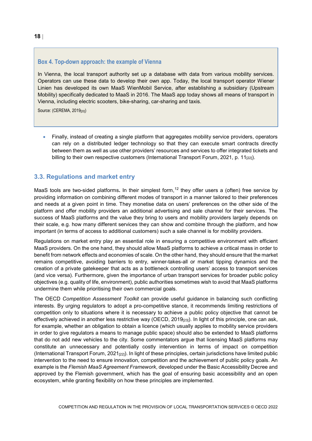#### <span id="page-17-1"></span>**Box 4. Top-down approach: the example of Vienna**

In Vienna, the local transport authority set up a database with data from various mobility services. Operators can use these data to develop their own app. Today, the local transport operator Wiener Linien has developed its own MaaS WienMobil Service, after establishing a subsidiary (Upstream Mobility) specifically dedicated to MaaS in 2016. The MaaS app today shows all means of transport in Vienna, including electric scooters, bike-sharing, car-sharing and taxis.

Source: (CEREMA, 2019[20])

• Finally, instead of creating a single platform that aggregates mobility service providers, operators can rely on a distributed ledger technology so that they can execute smart contracts directly between them as well as use other providers' resources and services to offer integrated tickets and billing to their own respective customers (International Transport Forum, 2021, p. 11 $_{[22]}$ ).

#### <span id="page-17-0"></span>**3.3. Regulations and market entry**

MaaS tools are two-sided platforms. In their simplest form,<sup>[12](#page-35-12)</sup> they offer users a (often) free service by providing information on combining different modes of transport in a manner tailored to their preferences and needs at a given point in time. They monetise data on users' preferences on the other side of the platform and offer mobility providers an additional advertising and sale channel for their services. The success of MaaS platforms and the value they bring to users and mobility providers largely depends on their scale, e.g. how many different services they can show and combine through the platform, and how important (in terms of access to additional customers) such a sale channel is for mobility providers.

Regulations on market entry play an essential role in ensuring a competitive environment with efficient MaaS providers. On the one hand, they should allow MaaS platforms to achieve a critical mass in order to benefit from network effects and economies of scale. On the other hand, they should ensure that the market remains competitive, avoiding barriers to entry, winner-takes-all or market tipping dynamics and the creation of a private gatekeeper that acts as a bottleneck controlling users' access to transport services (and vice versa). Furthermore, given the importance of urban transport services for broader public policy objectives (e.g. quality of life, environment), public authorities sometimes wish to avoid that MaaS platforms undermine them while prioritising their own commercial goals.

The OECD Competition Assessment Toolkit can provide useful guidance in balancing such conflicting interests. By urging regulators to adopt a pro-competitive stance, it recommends limiting restrictions of competition only to situations where it is necessary to achieve a public policy objective that cannot be effectively achieved in another less restrictive way (OECD,  $2019_{[23]}$ ). In light of this principle, one can ask, for example, whether an obligation to obtain a licence (which usually applies to mobility service providers in order to give regulators a means to manage public space) should also be extended to MaaS platforms that do not add new vehicles to the city. Some commentators argue that licensing MaaS platforms may constitute an unnecessary and potentially costly intervention in terms of impact on competition (International Transport Forum, 2021 $_{[22]}$ ). In light of these principles, certain jurisdictions have limited public intervention to the need to ensure innovation, competition and the achievement of public policy goals. An example is the *Flemish MaaS Agreement Framework*, developed under the Basic Accessibility Decree and approved by the Flemish government, which has the goal of ensuring basic accessibility and an open ecosystem, while granting flexibility on how these principles are implemented.

**18** |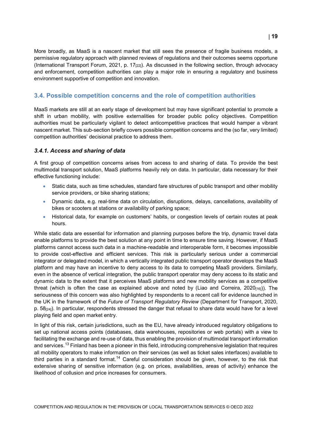More broadly, as MaaS is a nascent market that still sees the presence of fragile business models, a permissive regulatory approach with planned reviews of regulations and their outcomes seems opportune (International Transport Forum, 2021, p. 17<sub>[22]</sub>). As discussed in the following section, through advocacy and enforcement, competition authorities can play a major role in ensuring a regulatory and business environment supportive of competition and innovation.

#### <span id="page-18-0"></span>**3.4. Possible competition concerns and the role of competition authorities**

MaaS markets are still at an early stage of development but may have significant potential to promote a shift in urban mobility, with positive externalities for broader public policy objectives. Competition authorities must be particularly vigilant to detect anticompetitive practices that would hamper a vibrant nascent market. This sub-section briefly covers possible competition concerns and the (so far, very limited) competition authorities' decisional practice to address them.

#### <span id="page-18-1"></span>*3.4.1. Access and sharing of data*

A first group of competition concerns arises from access to and sharing of data. To provide the best multimodal transport solution, MaaS platforms heavily rely on data. In particular, data necessary for their effective functioning include:

- Static data, such as time schedules, standard fare structures of public transport and other mobility service providers, or bike sharing stations;
- Dynamic data, e.g. real-time data on circulation, disruptions, delays, cancellations, availability of bikes or scooters at stations or availability of parking space;
- Historical data, for example on customers' habits, or congestion levels of certain routes at peak hours.

While static data are essential for information and planning purposes before the trip, dynamic travel data enable platforms to provide the best solution at any point in time to ensure time saving. However, if MaaS platforms cannot access such data in a machine-readable and interoperable form, it becomes impossible to provide cost-effective and efficient services. This risk is particularly serious under a commercial integrator or delegated model, in which a vertically integrated public transport operator develops the MaaS platform and may have an incentive to deny access to its data to competing MaaS providers. Similarly, even in the absence of vertical integration, the public transport operator may deny access to its static and dynamic data to the extent that it perceives MaaS platforms and new mobility services as a competitive threat (which is often the case as explained above and noted by (Liao and Correira, 2020 $_{[16]}$ )). The seriousness of this concern was also highlighted by respondents to a recent call for evidence launched in the UK in the framework of the *Future of Transport Regulatory Review* (Department for Transport, 2020,  $p. 58<sub>[24]</sub>$ . In particular, respondents stressed the danger that refusal to share data would have for a level playing field and open market entry.

In light of this risk, certain jurisdictions, such as the EU, have already introduced regulatory obligations to set up national access points (databases, data warehouses, repositories or web portals) with a view to facilitating the exchange and re-use of data, thus enabling the provision of multimodal transport information and services.<sup>[13](#page-36-0)</sup> Finland has been a pioneer in this field, introducing comprehensive legislation that requires all mobility operators to make information on their services (as well as ticket sales interfaces) available to third parties in a standard format.<sup>[14](#page-36-1)</sup> Careful consideration should be given, however, to the risk that extensive sharing of sensitive information (e.g. on prices, availabilities, areas of activity) enhance the likelihood of collusion and price increases for consumers.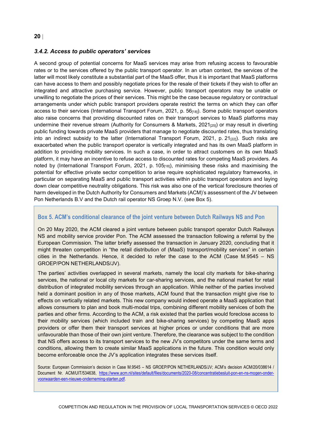#### **20** |

#### <span id="page-19-0"></span>*3.4.2. Access to public operators' services*

A second group of potential concerns for MaaS services may arise from refusing access to favourable rates or to the services offered by the public transport operator. In an urban context, the services of the latter will most likely constitute a substantial part of the MaaS offer, thus it is important that MaaS platforms can have access to them and possibly negotiate prices for the resale of their tickets if they wish to offer an integrated and attractive purchasing service. However, public transport operators may be unable or unwilling to negotiate the prices of their services. This might be the case because regulatory or contractual arrangements under which public transport providers operate restrict the terms on which they can offer access to their services (International Transport Forum, 2021, p. 56<sub>[18]</sub>). Some public transport operators also raise concerns that providing discounted rates on their transport services to MaaS platforms may undermine their revenue stream (Authority for Consumers & Markets, 2021 $_{125}$ ) or may result in diverting public funding towards private MaaS providers that manage to negotiate discounted rates, thus translating into an indirect subsidy to the latter (International Transport Forum, 2021, p. 21 $_{[22]}$ ). Such risks are exacerbated when the public transport operator is vertically integrated and has its own MaaS platform in addition to providing mobility services. In such a case, in order to attract customers on its own MaaS platform, it may have an incentive to refuse access to discounted rates for competing MaaS providers. As noted by (International Transport Forum, 2021, p. 105[18]), minimising these risks and maximising the potential for effective private sector competition to arise require sophisticated regulatory frameworks, in particular on separating MaaS and public transport activities within public transport operators and laying down clear competitive neutrality obligations. This risk was also one of the vertical foreclosure theories of harm developed in the Dutch Authority for Consumers and Markets (ACM)'s assessment of the JV between Pon Netherlands B.V and the Dutch rail operator NS Groep N.V. (see [Box](#page-19-1) 5).

#### <span id="page-19-1"></span>**Box 5. ACM's conditional clearance of the joint venture between Dutch Railways NS and Pon**

On 20 May 2020, the ACM cleared a joint venture between public transport operator Dutch Railways NS and mobility service provider Pon. The ACM assessed the transaction following a referral by the European Commission. The latter briefly assessed the transaction in January 2020, concluding that it might threaten competition in "the retail distribution of (MaaS) transport/mobility services" in certain cities in the Netherlands. Hence, it decided to refer the case to the ACM (Case M.9545 – NS GROEP/PON NETHERLANDS/JV).

The parties' activities overlapped in several markets, namely the local city markets for bike-sharing services, the national or local city markets for car-sharing services, and the national market for retail distribution of integrated mobility services through an application. While neither of the parties involved held a dominant position in any of those markets, ACM found that the transaction might give rise to effects on vertically related markets. This new company would indeed operate a MaaS application that allows consumers to plan and book multi-modal trips, combining different mobility services of both the parties and other firms. According to the ACM, a risk existed that the parties would foreclose access to their mobility services (which included train and bike-sharing services) by competing MaaS apps providers or offer them their transport services at higher prices or under conditions that are more unfavourable than those of their own joint venture. Therefore, the clearance was subject to the condition that NS offers access to its transport services to the new JV's competitors under the same terms and conditions, allowing them to create similar MaaS applications in the future. This condition would only become enforceable once the JV's application integrates these services itself.

Source: European Commission's decision in Case M.9545 – NS GROEP/PON NETHERLANDS/JV; ACM's decision ACM/20/038614 / Document Nr. ACM/UIT/534638, [https://www.acm.nl/sites/default/files/documents/2020-08/concentratiebesluit-pon-en-ns-mogen-onder](https://www.acm.nl/sites/default/files/documents/2020-08/concentratiebesluit-pon-en-ns-mogen-onder-voorwaarden-een-nieuwe-onderneming-starten.pdf)[voorwaarden-een-nieuwe-onderneming-starten.pdf.](https://www.acm.nl/sites/default/files/documents/2020-08/concentratiebesluit-pon-en-ns-mogen-onder-voorwaarden-een-nieuwe-onderneming-starten.pdf)

COMPETITION AND REGULATION IN THE PROVISION OF LOCAL TRANSPORTATION SERVICES © OECD 2022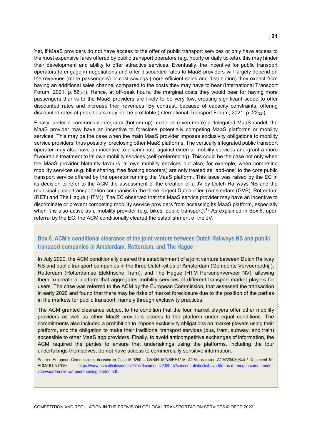Yet, if MaaS providers do not have access to the offer of public transport services or only have access to the most expensive fares offered by public transport operators (e.g. hourly or daily tickets), this may hinder their development and ability to offer attractive services. Eventually, the incentive for public transport operators to engage in negotiations and offer discounted rates to MaaS providers will largely depend on the revenues (more passengers) or cost savings (more efficient sales and distribution) they expect from having an additional sales channel compared to the costs they may have to bear (International Transport Forum, 2021, p.  $56_{[18]}$ ). Hence, at off-peak hours, the marginal costs they would bear for having more passengers thanks to the MaaS providers are likely to be very low, creating significant scope to offer discounted rates and increase their revenues. By contrast, because of capacity constraints, offering discounted rates at peak hours may not be profitable (International Transport Forum, 2021, p. 22<sub>[22]</sub>).

Finally, under a commercial integrator (bottom-up) model or (even more) a delegated MaaS model, the MaaS provider may have an incentive to foreclose potentially competing MaaS platforms or mobility services. This may be the case when the main MaaS provider imposes exclusivity obligations to mobility service providers, thus possibly foreclosing other MaaS platforms. The vertically integrated public transport operator may also have an incentive to discriminate against external mobility services and grant a more favourable treatment to its own mobility services (self-preferencing). This could be the case not only when the MaaS provider blatantly favours its own mobility services but also, for example, when competing mobility services (e.g. bike sharing, free floating scooters) are only treated as "add-ons" to the core public transport service offered by the operator running the MaaS platform. This issue was raised by the EC in its decision to refer to the ACM the assessment of the creation of a JV by Dutch Railways NS and the municipal public-transportation companies in the three largest Dutch cities (Amsterdam (GVB), Rotterdam (RET) and The Hague (HTM)). The EC observed that the MaaS service provider may have an incentive to discriminate or prevent competing mobility service providers from accessing its MaaS platform, especially when it is also active as a mobility provider (e.g. bikes, public transport).<sup>[15](#page-36-2)</sup> As explained in [Box](#page-20-0) 6, upon referral by the EC, the ACM conditionally cleared the establishment of the JV.

#### <span id="page-20-0"></span>**Box 6. ACM's conditional clearance of the joint venture between Dutch Railways NS and public transport companies in Amsterdam, Rotterdam, and The Hague**

In July 2020, the ACM conditionally cleared the establishment of a joint venture between Dutch Railway NS and public transport companies in the three Dutch cities of Amsterdam (Gemeente Vervoerbedrijf), Rotterdam (Rotterdamse Elektrische Tram), and The Hague (HTM Personenvervoer NV), allowing them to create a platform that aggregates mobility services of different transport market players for users. The case was referred to the ACM by the European Commission, that assessed the transaction in early 2020 and found that there may be risks of market foreclosure due to the position of the parties in the markets for public transport, namely through exclusivity practices.

The ACM granted clearance subject to the condition that the four market players offer other mobility providers as well as other MaaS providers access to the platform under equal conditions. The commitments also included a prohibition to impose exclusivity obligations on market players using their platform, and the obligation to make their traditional transport services (bus, tram, subway, and train) accessible to other MaaS app providers. Finally, to avoid anticompetitive exchanges of information, the ACM required the parties to ensure that undertakings using the platforms, including the four undertakings themselves, do not have access to commercially sensitive information.

Source: European Commission's decision in Case M.9250 – GVB/HTM/NS/RET/JV; ACM's decision ACM/20/039644 / Document Nr. ACM/UIT/537588, [https://www.acm.nl/sites/default/files/documents/2020-07/concentratiebesluit-gvb-htm-ns-ret-mogen-samen-onder](https://www.acm.nl/sites/default/files/documents/2020-07/concentratiebesluit-gvb-htm-ns-ret-mogen-samen-onder-voorwaarden-nieuwe-onderneming-starten.pdf)[voorwaarden-nieuwe-onderneming-starten.pdf.](https://www.acm.nl/sites/default/files/documents/2020-07/concentratiebesluit-gvb-htm-ns-ret-mogen-samen-onder-voorwaarden-nieuwe-onderneming-starten.pdf)

COMPETITION AND REGULATION IN THE PROVISION OF LOCAL TRANSPORTATION SERVICES © OECD 2022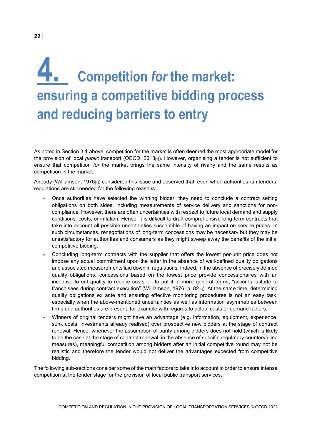### <span id="page-21-0"></span>**4. Competition** *for* **the market: ensuring a competitive bidding process and reducing barriers to entry**

As noted in Section [3.1 above,](#page-12-1) competition for the market is often deemed the most appropriate model for the provision of local *public* transport (OECD, 2013<sub>[1]</sub>). However, organising a tender is not sufficient to ensure that competition *for* the market brings the same intensity of rivalry and the same results as competition *in* the market.

Already (Williamson, 1976 $_{[4]}$ ) considered this issue and observed that, even when authorities run tenders, regulations are still needed for the following reasons:

- Once authorities have selected the winning bidder, they need to conclude a contract setting obligations on both sides, including measurements of service delivery and sanctions for noncompliance. However, there are often uncertainties with respect to future local demand and supply conditions, costs, or inflation. Hence, it is difficult to draft comprehensive long-term contracts that take into account all possible uncertainties susceptible of having an impact on service prices. In such circumstances, renegotiations of long-term concessions may be necessary but they may be unsatisfactory for authorities and consumers as they might sweep away the benefits of the initial competitive bidding.
- Concluding long-term contracts with the supplier that offers the lowest per-unit price does not impose any actual commitment upon the latter in the absence of well-defined quality obligations and associated measurements laid down in regulations. Indeed, in the absence of precisely defined quality obligations, concessions based on the lowest price provide concessionaires with an incentive to cut quality to reduce costs or, to put it in more general terms, "accords latitude to franchisees during contract execution" (Williamson, 1976, p. 82 $_{[4]}$ ). At the same time, determining quality obligations ex ante and ensuring effective monitoring procedures is not an easy task, especially when the above-mentioned uncertainties as well as information asymmetries between firms and authorities are present, for example with regards to actual costs or demand factors.
- Winners of original tenders might have an advantage (e.g. information, equipment, experience, sunk costs, investments already realised) over prospective new bidders at the stage of contract renewal. Hence, whenever the assumption of parity among bidders does not hold (which is likely to be the case at the stage of contract renewal, in the absence of specific regulatory countervailing measures), meaningful competition among bidders after an initial competitive round may not be realistic and therefore the tender would not deliver the advantages expected from competitive bidding.

The following sub-sections consider some of the main factors to take into account in order to ensure intense competition at the tender stage for the provision of local public transport services.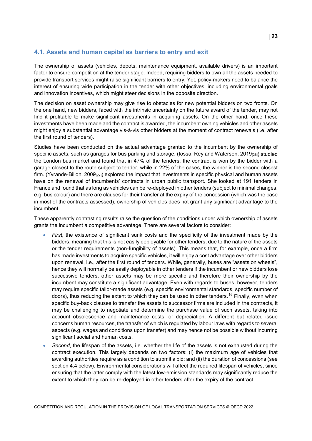#### <span id="page-22-0"></span>**4.1. Assets and human capital as barriers to entry and exit**

The ownership of assets (vehicles, depots, maintenance equipment, available drivers) is an important factor to ensure competition at the tender stage. Indeed, requiring bidders to own all the assets needed to provide transport services might raise significant barriers to entry. Yet, policy-makers need to balance the interest of ensuring wide participation in the tender with other objectives, including environmental goals and innovation incentives, which might steer decisions in the opposite direction.

The decision on asset ownership may give rise to obstacles for new potential bidders on two fronts. On the one hand, new bidders, faced with the intrinsic uncertainty on the future award of the tender, may not find it profitable to make significant investments in acquiring assets. On the other hand, once these investments have been made and the contract is awarded, the incumbent owning vehicles and other assets might enjoy a substantial advantage vis-à-vis other bidders at the moment of contract renewals (i.e. after the first round of tenders).

Studies have been conducted on the actual advantage granted to the incumbent by the ownership of specific assets, such as garages for bus parking and storage. (Iossa, Rey and Waterson, 2019 $_{260}$ ) studied the London bus market and found that in 47% of the tenders, the contract is won by the bidder with a garage closest to the route subject to tender, while in 22% of the cases, the winner is the second closest firm. (Yvrande-Billon, 2009 $_{[27]}$ ) explored the impact that investments in specific physical and human assets have on the renewal of incumbents' contracts in urban public transport. She looked at 191 tenders in France and found that as long as vehicles can be re-deployed in other tenders (subject to minimal changes, e.g. bus colour) and there are clauses for their transfer at the expiry of the concession (which was the case in most of the contracts assessed), ownership of vehicles does not grant any significant advantage to the incumbent.

These apparently contrasting results raise the question of the conditions under which ownership of assets grants the incumbent a competitive advantage. There are several factors to consider:

- *First*, the existence of significant sunk costs and the specificity of the investment made by the bidders, meaning that this is not easily deployable for other tenders, due to the nature of the assets or the tender requirements (non-fungibility of assets). This means that, for example, once a firm has made investments to acquire specific vehicles, it will enjoy a cost advantage over other bidders upon renewal, i.e., after the first round of tenders. While, generally, buses are "assets on wheels", hence they will normally be easily deployable in other tenders if the incumbent or new bidders lose successive tenders, other assets may be more specific and therefore their ownership by the incumbent may constitute a significant advantage. Even with regards to buses, however, tenders may require specific tailor-made assets (e.g. specific environmental standards, specific number of doors), thus reducing the extent to which they can be used in other tenders.<sup>[16](#page-36-3)</sup> Finally, even when specific buy-back clauses to transfer the assets to successor firms are included in the contracts, it may be challenging to negotiate and determine the purchase value of such assets, taking into account obsolescence and maintenance costs, or depreciation. A different but related issue concerns human resources, the transfer of which is regulated by labour laws with regards to several aspects (e.g. wages and conditions upon transfer) and may hence not be possible without incurring significant social and human costs.
- *Second*, the lifespan of the assets, i.e. whether the life of the assets is not exhausted during the contract execution. This largely depends on two factors: (i) the maximum age of vehicles that awarding authorities require as a condition to submit a bid; and (ii) the duration of concessions (see section [4.4 below\)](#page-31-0). Environmental considerations will affect the required lifespan of vehicles, since ensuring that the latter comply with the latest low-emission standards may significantly reduce the extent to which they can be re-deployed in other tenders after the expiry of the contract.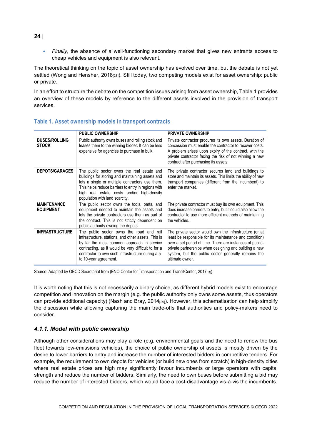• *Finally*, the absence of a well-functioning secondary market that gives new entrants access to cheap vehicles and equipment is also relevant.

The theoretical thinking on the topic of asset ownership has evolved over time, but the debate is not yet settled (Wong and Hensher, 2018<sub>[28]</sub>). Still today, two competing models exist for asset ownership: public or private.

In an effort to structure the debate on the competition issues arising from asset ownership, [Table](#page-23-1) 1 provides an overview of these models by reference to the different assets involved in the provision of transport services.

|                                        | <b>PUBLIC OWNERSHIP</b>                                                                                                                                                                                                                                                                  | <b>PRIVATE OWNERSHIP</b>                                                                                                                                                                                                                                                                                           |
|----------------------------------------|------------------------------------------------------------------------------------------------------------------------------------------------------------------------------------------------------------------------------------------------------------------------------------------|--------------------------------------------------------------------------------------------------------------------------------------------------------------------------------------------------------------------------------------------------------------------------------------------------------------------|
| <b>BUSES/ROLLING</b><br><b>STOCK</b>   | Public authority owns buses and rolling stock and<br>leases them to the winning bidder. It can be less<br>expensive for agencies to purchase in bulk.                                                                                                                                    | Private contractor procures its own assets. Duration of<br>concession must enable the contractor to recover costs.<br>A problem arises upon expiry of the contract, with the<br>private contractor facing the risk of not winning a new<br>contract after purchasing its assets.                                   |
| <b>DEPOTS/GARAGES</b>                  | The public sector owns the real estate and<br>buildings for storing and maintaining assets and<br>lets a single or multiple contractors use them.<br>This helps reduce barriers to entry in regions with<br>high real estate costs and/or high-density<br>population with land scarcity. | The private contractor secures land and buildings to<br>store and maintain its assets. This limits the ability of new<br>transport companies (different from the incumbent) to<br>enter the market.                                                                                                                |
| <b>MAINTENANCE</b><br><b>EQUIPMENT</b> | The public sector owns the tools, parts, and<br>equipment needed to maintain the assets and<br>lets the private contractors use them as part of<br>the contract. This is not strictly dependent on<br>public authority owning the depots.                                                | The private contractor must buy its own equipment. This<br>does increase barriers to entry, but it could also allow the<br>contractor to use more efficient methods of maintaining<br>the vehicles.                                                                                                                |
| <b>INFRASTRUCTURE</b>                  | The public sector owns the road and rail<br>infrastructure, stations, and other assets. This is<br>by far the most common approach in service<br>contracting, as it would be very difficult to for a<br>contractor to own such infrastructure during a 5-<br>to 10-year agreement.       | The private sector would own the infrastructure (or at<br>least be responsible for its maintenance and condition)<br>over a set period of time. There are instances of public-<br>private partnerships when designing and building a new<br>system, but the public sector generally remains the<br>ultimate owner. |

#### <span id="page-23-1"></span>**Table 1. Asset ownership models in transport contracts**

Source: Adapted by OECD Secretariat from (ENO Center for Transportation and TransitCenter, 2017<sub>[11]</sub>).

It is worth noting that this is not necessarily a binary choice, as different hybrid models exist to encourage competition and innovation on the margin (e.g. the public authority only owns some assets, thus operators can provide additional capacity) (Nash and Bray, 2014<sub>[29]</sub>). However, this schematisation can help simplify the discussion while allowing capturing the main trade-offs that authorities and policy-makers need to consider.

#### <span id="page-23-0"></span>*4.1.1. Model with public ownership*

Although other considerations may play a role (e.g. environmental goals and the need to renew the bus fleet towards low-emissions vehicles), the choice of public ownership of assets is mostly driven by the desire to lower barriers to entry and increase the number of interested bidders in competitive tenders. For example, the requirement to own depots for vehicles (or build new ones from scratch) in high-density cities where real estate prices are high may significantly favour incumbents or large operators with capital strength and reduce the number of bidders. Similarly, the need to own buses before submitting a bid may reduce the number of interested bidders, which would face a cost-disadvantage vis-à-vis the incumbents.

#### **24** |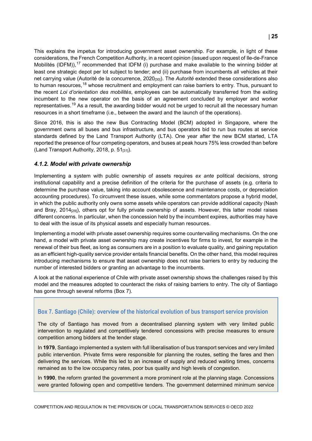This explains the impetus for introducing government asset ownership. For example, in light of these considerations, the French Competition Authority, in a recent opinion (issued upon request of Ile-de-France Mobilités (IDFM)),<sup>[17](#page-36-4)</sup> recommended that IDFM (i) purchase and make available to the winning bidder at least one strategic depot per lot subject to tender; and (ii) purchase from incumbents all vehicles at their net carrying value (Autorité de la concurrence, 2020<sub>[30]</sub>). The *Autorité* extended these considerations also to human resources,<sup>[18](#page-36-5)</sup> whose recruitment and employment can raise barriers to entry. Thus, pursuant to the recent *Loi d'orientation des mobilités*, employees can be automatically transferred from the exiting incumbent to the new operator on the basis of an agreement concluded by employer and worker representatives.<sup>[19](#page-36-6)</sup> As a result, the awarding bidder would not be urged to recruit all the necessary human resources in a short timeframe (i.e., between the award and the launch of the operations).

Since 2016, this is also the new Bus Contracting Model (BCM) adopted in Singapore, where the government owns all buses and bus infrastructure, and bus operators bid to run bus routes at service standards defined by the Land Transport Authority (LTA). One year after the new BCM started, LTA reported the presence of four competing operators, and buses at peak hours 75% less crowded than before (Land Transport Authority, 2018, p. 51[31]).

#### <span id="page-24-0"></span>*4.1.2. Model with private ownership*

Implementing a system with public ownership of assets requires *ex ante* political decisions, strong institutional capability and a precise definition of the criteria for the purchase of assets (e.g. criteria to determine the purchase value, taking into account obsolescence and maintenance costs, or depreciation accounting procedures). To circumvent these issues, while some commentators propose a hybrid model, in which the public authority only owns some assets while operators can provide additional capacity (Nash and Bray, 2014<sub>[29]</sub>), others opt for fully private ownership of assets. However, this latter model raises different concerns. In particular, when the concession held by the incumbent expires, authorities may have to deal with the issue of its physical assets and especially human resources.

Implementing a model with private asset ownership requires some countervailing mechanisms. On the one hand, a model with private asset ownership may create incentives for firms to invest, for example in the renewal of their bus fleet, as long as consumers are in a position to evaluate quality, and gaining reputation as an efficient high-quality service provider entails financial benefits. On the other hand, this model requires introducing mechanisms to ensure that asset ownership does not raise barriers to entry by reducing the number of interested bidders or granting an advantage to the incumbents.

A look at the national experience of Chile with private asset ownership shows the challenges raised by this model and the measures adopted to counteract the risks of raising barriers to entry. The city of Santiago has gone through several reforms [\(Box](#page-24-1) 7).

#### <span id="page-24-1"></span>**Box 7. Santiago (Chile): overview of the historical evolution of bus transport service provision**

The city of Santiago has moved from a decentralised planning system with very limited public intervention to regulated and competitively tendered concessions with precise measures to ensure competition among bidders at the tender stage.

In **1979**, Santiago implemented a system with full liberalisation of bus transport services and very limited public intervention. Private firms were responsible for planning the routes, setting the fares and then delivering the services. While this led to an increase of supply and reduced waiting times, concerns remained as to the low occupancy rates, poor bus quality and high levels of congestion.

In **1990**, the reform granted the government a more prominent role at the planning stage. Concessions were granted following open and competitive tenders. The government determined minimum service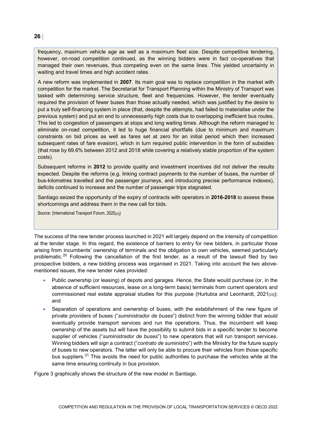frequency, maximum vehicle age as well as a maximum fleet size. Despite competitive tendering, however, on-road competition continued, as the winning bidders were in fact co-operatives that managed their own revenues, thus competing even on the same lines. This yielded uncertainty in waiting and travel times and high accident rates.

A new reform was implemented in **2007**. Its main goal was to replace competition in the market with competition for the market. The Secretariat for Transport Planning within the Ministry of Transport was tasked with determining service structure, fleet and frequencies. However, the tender eventually required the provision of fewer buses than those actually needed, which was justified by the desire to put a truly self-financing system in place (that, despite the attempts, had failed to materialise under the previous system) and put an end to unnecessarily high costs due to overlapping inefficient bus routes. This led to congestion of passengers at stops and long waiting times. Although the reform managed to eliminate on-road competition, it led to huge financial shortfalls (due to minimum and maximum constraints on bid prices as well as fares set at zero for an initial period which then increased subsequent rates of fare evasion), which in turn required public intervention in the form of subsidies (that rose by 69.6% between 2012 and 2018 while covering a relatively stable proportion of the system costs).

Subsequent reforms in **2012** to provide quality and investment incentives did not deliver the results expected. Despite the reforms (e.g. linking contract payments to the number of buses, the number of bus-kilometres travelled and the passenger journeys, and introducing precise performance indexes), deficits continued to increase and the number of passenger trips stagnated.

Santiago seized the opportunity of the expiry of contracts with operators in **2016-2018** to assess these shortcomings and address them in the new call for bids.

Source: (International Transport Forum, 2020(32))

The success of the new tender process launched in 2021 will largely depend on the intensity of competition at the tender stage. In this regard, the existence of barriers to entry for new bidders, in particular those arising from incumbents' ownership of terminals and the obligation to own vehicles, seemed particularly problematic.<sup>[20](#page-36-7)</sup> Following the cancellation of the first tender, as a result of the lawsuit filed by two prospective bidders, a new bidding process was organised in 2021. Taking into account the two abovementioned issues, the new tender rules provided:

- Public ownership (or leasing) of depots and garages. Hence, the State would purchase (or, in the absence of sufficient resources, lease on a long-term basis) terminals from current operators and commissioned real estate appraisal studies for this purpose (Hurtubia and Leonhardt,  $2021_{[33]}$ ); and
- Separation of operations and ownership of buses, with the establishment of the new figure of private providers of buses ("*suministrador de buses*") distinct from the winning bidder that would eventually provide transport services and run the operations. Thus, the incumbent will keep ownership of the assets but will have the possibility to submit bids in a specific tender to become supplier of vehicles ("*suministrador de buses*") to new operators that will run transport services. Winning bidders will sign a contract ("*contrato de suministro*") with the Ministry for the future supply of buses to new operators. The latter will only be able to procure their vehicles from those specific bus suppliers.<sup>[21](#page-36-8)</sup> This avoids the need for public authorities to purchase the vehicles while at the same time ensuring continuity in bus provision.

[Figure](#page-26-1) 3 graphically shows the structure of the new model in Santiago.

**26** |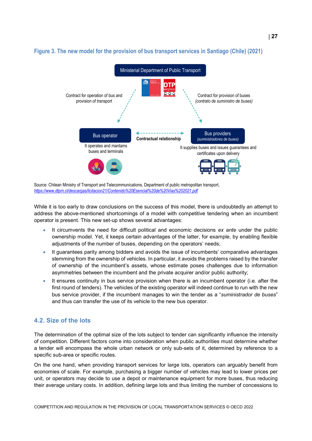

#### <span id="page-26-1"></span>**Figure 3. The new model for the provision of bus transport services in Santiago (Chile) (2021)**

Source: Chilean Ministry of Transport and Telecommunications, Department of public metropolitan transport, *<https://www.dtpm.cl/descargas/licitacion21/Contenido%20Esencial%20de%20Vias%202021.pdf>*

While it is too early to draw conclusions on the success of this model, there is undoubtedly an attempt to address the above-mentioned shortcomings of a model with competitive tendering when an incumbent operator is present. This new set-up shows several advantages:

- It circumvents the need for difficult political and economic decisions *ex ante* under the public ownership model. Yet, it keeps certain advantages of the latter, for example, by enabling flexible adjustments of the number of buses, depending on the operators' needs;
- It guarantees parity among bidders and avoids the issue of incumbents' comparative advantages stemming from the ownership of vehicles. In particular, it avoids the problems raised by the transfer of ownership of the incumbent's assets, whose estimate poses challenges due to information asymmetries between the incumbent and the private acquirer and/or public authority;
- It ensures continuity in bus service provision when there is an incumbent operator (i.e. after the first round of tenders). The vehicles of the existing operator will indeed continue to run with the new bus service provider, if the incumbent manages to win the tender as a "*suministrador de buses*" and thus can transfer the use of its vehicle to the new bus operator.

#### <span id="page-26-0"></span>**4.2. Size of the lots**

The determination of the optimal size of the lots subject to tender can significantly influence the intensity of competition. Different factors come into consideration when public authorities must determine whether a tender will encompass the whole urban network or only sub-sets of it, determined by reference to a specific sub-area or specific routes.

On the one hand, when providing transport services for large lots, operators can arguably benefit from economies of scale. For example, purchasing a bigger number of vehicles may lead to lower prices per unit, or operators may decide to use a depot or maintenance equipment for more buses, thus reducing their average unitary costs. In addition, defining large lots and thus limiting the number of concessions to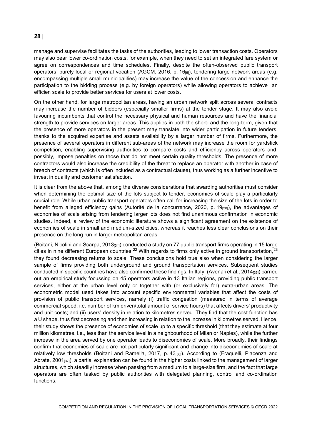#### **28** |

manage and supervise facilitates the tasks of the authorities, leading to lower transaction costs. Operators may also bear lower co-ordination costs, for example, when they need to set an integrated fare system or agree on correspondences and time schedules. Finally, despite the often-observed public transport operators' purely local or regional vocation (AGCM, 2016, p. 16[6]), tendering large network areas (e.g. encompassing multiple small municipalities) may increase the value of the concession and enhance the participation to the bidding process (e.g. by foreign operators) while allowing operators to achieve an efficien scale to provide better services for users at lower costs.

On the other hand, for large metropolitan areas, having an urban network split across several contracts may increase the number of bidders (especially smaller firms) at the tender stage. It may also avoid favouring incumbents that control the necessary physical and human resources and have the financial strength to provide services on larger areas. This applies in both the short- and the long-term, given that the presence of more operators in the present may translate into wider participation in future tenders, thanks to the acquired expertise and assets availability by a larger number of firms. Furthermore, the presence of several operators in different sub-areas of the network may increase the room for yardstick competition, enabling supervising authorities to compare costs and efficiency across operators and, possibly, impose penalties on those that do not meet certain quality thresholds. The presence of more contractors would also increase the credibility of the threat to replace an operator with another in case of breach of contracts (which is often included as a contractual clause), thus working as a further incentive to invest in quality and customer satisfaction.

It is clear from the above that, among the diverse considerations that awarding authorities must consider when determining the optimal size of the lots subject to tender, economies of scale play a particularly crucial role. While urban public transport operators often call for increasing the size of the lots in order to benefit from alleged efficiency gains (Autorité de la concurrence, 2020, p. 19[30]), the advantages of economies of scale arising from tendering larger lots does not find unanimous confirmation in economic studies. Indeed, a review of the economic literature shows a significant agreement on the existence of economies of scale in small and medium-sized cities, whereas it reaches less clear conclusions on their presence on the long run in larger metropolitan areas.

(Boitani, Nicolini and Scarpa, 2013[34]) conducted a study on 77 public transport firms operating in 15 large cities in nine different European countries.<sup>[22](#page-36-9)</sup> With regards to firms only active in ground transportation,  $23$ they found decreasing returns to scale. These conclusions hold true also when considering the larger sample of firms providing both underground and ground transportation services. Subsequent studies conducted in specific countries have also confirmed these findings. In Italy, (Avenali et al., 2014<sub>[35]</sub>) carried out an empirical study focussing on 45 operators active in 13 Italian regions, providing public transport services, either at the urban level only or together with (or exclusively for) extra-urban areas. The econometric model used takes into account specific environmental variables that affect the costs of provision of public transport services, namely (i) traffic congestion (measured in terms of average commercial speed, i.e. number of km driven/total amount of service hours) that affects drivers' productivity and unit costs; and (ii) users' density in relation to kilometres served. They find that the cost function has a U shape, thus first decreasing and then increasing in relation to the increase in kilometres served. Hence, their study shows the presence of economies of scale up to a specific threshold (that they estimate at four million kilometres, i.e., less than the service level in a neighbourhood of Milan or Naples), while the further increase in the area served by one operator leads to diseconomies of scale. More broadly, their findings confirm that economies of scale are not particularly significant and change into diseconomies of scale at relatively low thresholds (Boitani and Ramella, 2017, p. 43<sub>[36]</sub>). According to (Fraquelli, Piacenza and Abrate, 2001 $_{[37]}$ ), a partial explanation can be found in the higher costs linked to the management of larger structures, which steadily increase when passing from a medium to a large-size firm, and the fact that large operators are often tasked by public authorities with delegated planning, control and co-ordination functions.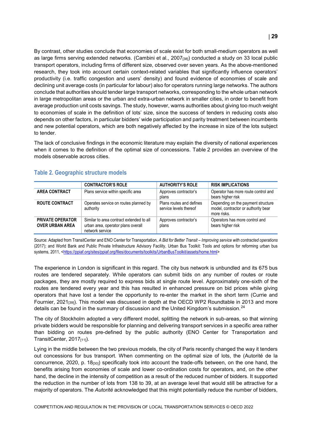By contrast, other studies conclude that economies of scale exist for both small-medium operators as well as large firms serving extended networks. (Cambini et al., 2007<sub>[38]</sub>) conducted a study on 33 local public transport operators, including firms of different size, observed over seven years. As the above-mentioned research, they took into account certain context-related variables that significantly influence operators' productivity (i.e. traffic congestion and users' density) and found evidence of economies of scale and declining unit average costs (in particular for labour) also for operators running large networks. The authors conclude that authorities should tender large transport networks, corresponding to the whole urban network in large metropolitan areas or the urban and extra-urban network in smaller cities, in order to benefit from average production unit costs savings. The study, however, warns authorities about giving too much weight to economies of scale in the definition of lots' size, since the success of tenders in reducing costs also depends on other factors, in particular bidders' wide participation and parity treatment between incumbents and new potential operators, which are both negatively affected by the increase in size of the lots subject to tender.

The lack of conclusive findings in the economic literature may explain the diversity of national experiences when it comes to the definition of the optimal size of concessions. [Table](#page-28-0) 2 provides an overview of the models observable across cities.

|                                                   | <b>CONTRACTOR'S ROLE</b>                                                                          | <b>AUTHORITY'S ROLE</b>                            | <b>RISK IMPLICATIONS</b>                                                                 |
|---------------------------------------------------|---------------------------------------------------------------------------------------------------|----------------------------------------------------|------------------------------------------------------------------------------------------|
| <b>AREA CONTRACT</b>                              | Plans service within specific area                                                                | Approves contractor's<br>plans                     | Operator has more route control and<br>bears higher risk                                 |
| <b>ROUTE CONTRACT</b>                             | Operates service on routes planned by<br>authority                                                | Plans routes and defines<br>service levels thereof | Depending on the payment structure<br>model, contractor or authority bear<br>more risks. |
| <b>PRIVATE OPERATOR</b><br><b>OVER URBAN AREA</b> | Similar to area contract extended to all<br>urban area, operator plans overall<br>network service | Approves contractor's<br>plans                     | Operators has more control and<br>bears higher risk                                      |

#### <span id="page-28-0"></span>**Table 2. Geographic structure models**

Source: Adapted from TransitCenter and ENO Center for Transportation, *A Bid for Better Transit – Improving service with contracted operations*  (2017); and World Bank and Public Private Infrastructure Advisory Facility, Urban Bus Toolkit: Tools and options for reforming urban bus systems, 2011, [<https://ppiaf.org/sites/ppiaf.org/files/documents/toolkits/UrbanBusToolkit/assets/home.html>](https://ppiaf.org/sites/ppiaf.org/files/documents/toolkits/UrbanBusToolkit/assets/home.html)

The experience in London is significant in this regard. The city bus network is unbundled and its 675 bus routes are tendered separately. While operators can submit bids on any number of routes or route packages, they are mostly required to express bids at single route level. Approximately one-sixth of the routes are tendered every year and this has resulted in enhanced pressure on bid prices while giving operators that have lost a tender the opportunity to re-enter the market in the short term (Currie and Fournier, 2021<sub>[39]</sub>). This model was discussed in depth at the OECD WP2 Roundtable in 2013 and more details can be found in the summary of discussion and the United Kingdom's submission.<sup>[24](#page-36-11)</sup>

The city of Stockholm adopted a very different model, splitting the network in sub-areas, so that winning private bidders would be responsible for planning and delivering transport services in a specific area rather than bidding on routes pre-defined by the public authority (ENO Center for Transportation and TransitCenter,  $2017_{[11]}$ ).

Lying in the middle between the two previous models, the city of Paris recently changed the way it tenders out concessions for bus transport. When commenting on the optimal size of lots, the (Autorité de la concurrence, 2020, p. 18[30]) specifically took into account the trade-offs between, on the one hand, the benefits arising from economies of scale and lower co-ordination costs for operators, and, on the other hand, the decline in the intensity of competition as a result of the reduced number of bidders. It supported the reduction in the number of lots from 138 to 39, at an average level that would still be attractive for a majority of operators. The *Autorité* acknowledged that this might potentially reduce the number of bidders,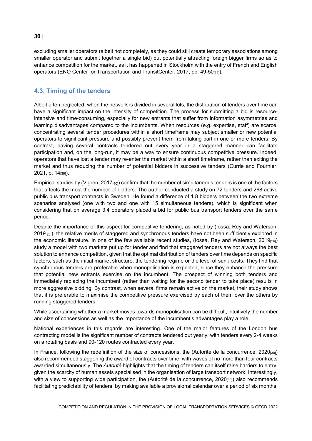excluding smaller operators (albeit not completely, as they could still create temporary associations among smaller operator and submit together a single bid) but potentially attracting foreign bigger firms so as to enhance competition for the market, as it has happened in Stockholm with the entry of French and English operators (ENO Center for Transportation and TransitCenter, 2017, pp. 49-50 $_{[11]}$ ).

#### <span id="page-29-0"></span>**4.3. Timing of the tenders**

Albeit often neglected, when the network is divided in several lots, the distribution of tenders over time can have a significant impact on the intensity of competition. The process for submitting a bid is resourceintensive and time-consuming, especially for new entrants that suffer from information asymmetries and learning disadvantages compared to the incumbents. When resources (e.g. expertise, staff) are scarce, concentrating several tender procedures within a short timeframe may subject smaller or new potential operators to significant pressure and possibly prevent them from taking part in one or more tenders. By contrast, having several contracts tendered out every year in a staggered manner can facilitate participation and, on the long-run, it may be a way to ensure continuous competitive pressure. Indeed, operators that have lost a tender may re-enter the market within a short timeframe, rather than exiting the market and thus reducing the number of potential bidders in successive tenders (Currie and Fournier, 2021, p. 14[39]).

Empirical studies by (Vigren,  $2017_{[40]}$ ) confirm that the number of simultaneous tenders is one of the factors that affects the most the number of bidders. The author conducted a study on 72 tenders and 268 active public bus transport contracts in Sweden. He found a difference of 1.8 bidders between the two extreme scenarios analysed (one with two and one with 15 simultaneous tenders), which is significant when considering that on average 3.4 operators placed a bid for public bus transport tenders over the same period.

Despite the importance of this aspect for competitive tendering, as noted by (Iossa, Rey and Waterson, 2019<sub>[26]</sub>), the relative merits of staggered and synchronous tenders have not been sufficiently explored in the economic literature. In one of the few available recent studies, (lossa, Rey and Waterson, 2019<sub>[26]</sub>) study a model with two markets put up for tender and find that staggered tenders are not always the best solution to enhance competition, given that the optimal distribution of tenders over time depends on specific factors, such as the initial market structure, the tendering regime or the level of sunk costs. They find that synchronous tenders are preferable when monopolisation is expected, since they enhance the pressure that potential new entrants exercise on the incumbent. The prospect of winning both tenders and immediately replacing the incumbent (rather than waiting for the second tender to take place) results in more aggressive bidding. By contrast, when several firms remain active on the market, their study shows that it is preferable to maximise the competitive pressure exercised by each of them over the others by running staggered tenders.

While ascertaining whether a market moves towards monopolisation can be difficult, intuitively the number and size of concessions as well as the importance of the incumbent's advantages play a role.

National experiences in this regards are interesting. One of the major features of the London bus contracting model is the significant number of contracts tendered out yearly, with tenders every 2-4 weeks on a rotating basis and 90-120 routes contracted every year.

In France, following the redefinition of the size of concessions, the (Autorité de la concurrence, 2020[30]) also recommended staggering the award of contracts over time, with waves of no more than four contracts awarded simultaneously. The *Autorité* highlights that the timing of tenders can itself raise barriers to entry, given the scarcity of human assets specialised in the organisation of large transport network. Interestingly, with a view to supporting wide participation, the (Autorité de la concurrence, 2020[30]) also recommends facilitating predictability of tenders, by making available a provisional calendar over a period of six months.

#### **30** |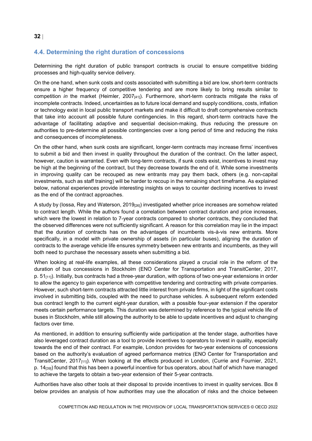#### <span id="page-31-0"></span>**4.4. Determining the right duration of concessions**

Determining the right duration of public transport contracts is crucial to ensure competitive bidding processes and high-quality service delivery.

On the one hand, when sunk costs and costs associated with submitting a bid are low, short-term contracts ensure a higher frequency of competitive tendering and are more likely to bring results similar to competition *in* the market (Heimler, 2007<sub>[41]</sub>). Furthermore, short-term contracts mitigate the risks of incomplete contracts. Indeed, uncertainties as to future local demand and supply conditions, costs, inflation or technology exist in local public transport markets and make it difficult to draft comprehensive contracts that take into account all possible future contingencies. In this regard, short-term contracts have the advantage of facilitating adaptive and sequential decision-making, thus reducing the pressure on authorities to pre-determine all possible contingencies over a long period of time and reducing the risks and consequences of incompleteness.

On the other hand, when sunk costs are significant, longer-term contracts may increase firms' incentives to submit a bid and then invest in quality throughout the duration of the contract. On the latter aspect, however, caution is warranted. Even with long-term contracts, if sunk costs exist, incentives to invest may be high at the beginning of the contract, but they decrease towards the end of it. While some investments in improving quality can be recouped as new entrants may pay them back, others (e.g. non-capital investments, such as staff training) will be harder to recoup in the remaining short timeframe. As explained below, national experiences provide interesting insights on ways to counter declining incentives to invest as the end of the contract approaches.

A study by (lossa, Rey and Waterson, 2019<sub>[26]</sub>) investigated whether price increases are somehow related to contract length. While the authors found a correlation between contract duration and price increases, which were the lowest in relation to 7-year contracts compared to shorter contracts, they concluded that the observed differences were not sufficiently significant. A reason for this correlation may lie in the impact that the duration of contracts has on the advantages of incumbents vis-à-vis new entrants. More specifically, in a model with private ownership of assets (in particular buses), aligning the duration of contracts to the average vehicle life ensures symmetry between new entrants and incumbents, as they will both need to purchase the necessary assets when submitting a bid.

When looking at real-life examples, all these considerations played a crucial role in the reform of the duration of bus concessions in Stockholm (ENO Center for Transportation and TransitCenter, 2017,  $p. 51_{[11]}$ . Initially, bus contracts had a three-year duration, with options of two one-year extensions in order to allow the agency to gain experience with competitive tendering and contracting with private companies. However, such short-term contracts attracted little interest from private firms, in light of the significant costs involved in submitting bids, coupled with the need to purchase vehicles. A subsequent reform extended bus contract length to the current eight-year duration, with a possible four-year extension if the operator meets certain performance targets. This duration was determined by reference to the typical vehicle life of buses in Stockholm, while still allowing the authority to be able to update incentives and adjust to changing factors over time.

As mentioned, in addition to ensuring sufficiently wide participation at the tender stage, authorities have also leveraged contract duration as a tool to provide incentives to operators to invest in quality, especially towards the end of their contract. For example, London provides for two-year extensions of concessions based on the authority's evaluation of agreed performance metrics (ENO Center for Transportation and TransitCenter, 2017[11]). When looking at the effects produced in London, (Currie and Fournier, 2021, p. 14<sub>[39]</sub>) found that this has been a powerful incentive for bus operators, about half of which have managed to achieve the targets to obtain a two-year extension of their 5-year contracts.

Authorities have also other tools at their disposal to provide incentives to invest in quality services. [Box](#page-32-1) 8 below provides an analysis of how authorities may use the allocation of risks and the choice between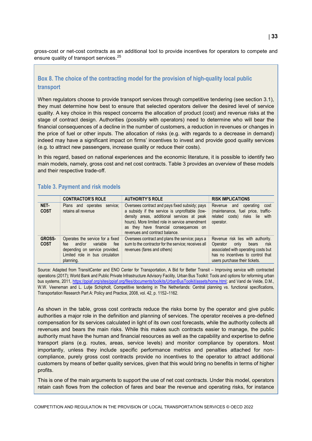gross-cost or net-cost contracts as an additional tool to provide incentives for operators to compete and ensure quality of transport services.<sup>[25](#page-36-12)</sup>

#### <span id="page-32-1"></span>**Box 8. The choice of the contracting model for the provision of high-quality local public transport**

When regulators choose to provide transport services through competitive tendering (see section [3.1\)](#page-12-1), they must determine how best to ensure that selected operators deliver the desired level of service quality. A key choice in this respect concerns the allocation of product (cost) and revenue risks at the stage of contract design. Authorities (possibly with operators) need to determine who will bear the financial consequences of a decline in the number of customers, a reduction in revenues or changes in the price of fuel or other inputs. The allocation of risks (e.g. with regards to a decrease in demand) indeed may have a significant impact on firms' incentives to invest and provide good quality services (e.g. to attract new passengers, increase quality or reduce their costs).

In this regard, based on national experiences and the economic literature, it is possible to identify two main models, namely, gross cost and net cost contracts. [Table](#page-32-0) 3 provides an overview of these models and their respective trade-off.

#### <span id="page-32-0"></span>**Table 3. Payment and risk models**

|                              | <b>CONTRACTOR'S ROLE</b>                                                                                                                               | <b>AUTHORITY'S ROLE</b>                                                                                                                                                                                                                                                      | <b>RISK IMPLICATIONS</b>                                                                                                                                                            |
|------------------------------|--------------------------------------------------------------------------------------------------------------------------------------------------------|------------------------------------------------------------------------------------------------------------------------------------------------------------------------------------------------------------------------------------------------------------------------------|-------------------------------------------------------------------------------------------------------------------------------------------------------------------------------------|
| NET-<br><b>COST</b>          | service;<br>Plans and operates<br>retains all revenue                                                                                                  | Oversees contract and pays fixed subsidy; pays<br>a subsidy if the service is unprofitable (low-<br>density areas, additional services at peak<br>hours). More limited role in service amendment<br>as they have financial consequences on<br>revenues and contract balance. | Revenue<br>operating<br>and<br>cost<br>(maintenance, fuel price, traffic-<br>costs) risks lie<br>related<br>with<br>operator.                                                       |
| <b>GROSS-</b><br><b>COST</b> | Operates the service for a fixed<br>variable<br>and/or<br>fee<br>fee<br>depending on service provided.<br>Limited role in bus circulation<br>planning. | Oversees contract and plans the service; pays a<br>sum to the contractor for the service; receives all<br>revenues (fares and others)                                                                                                                                        | Revenue risk lies with authority.<br>Operator<br>risk<br>bears<br>only<br>associated with operating costs but<br>has no incentives to control that<br>users purchase their tickets. |

Source: Adapted from TransitCenter and ENO Center for Transportation, A Bid for Better Transit – Improving service with contracted operations (2017); World Bank and Public Private Infrastructure Advisory Facility, Urban Bus Toolkit: Tools and options for reforming urban bus systems, 2011, [https://ppiaf.org/sites/ppiaf.org/files/documents/toolkits/UrbanBusToolkit/assets/home.html;](https://ppiaf.org/sites/ppiaf.org/files/documents/toolkits/UrbanBusToolkit/assets/home.html) and Vand de Velde, D.M., W.W. Veeneman and L. Lutje Schipholt, Competitive tendering in The Netherlands: Central planning vs. functional specifications, Transportation Research Part A: Policy and Practice, 2008, vol. 42, p. 1152–1162.

As shown in the table, gross cost contracts reduce the risks borne by the operator and give public authorities a major role in the definition and planning of services. The operator receives a pre-defined compensation for its services calculated in light of its own cost forecasts, while the authority collects all revenues and bears the main risks. While this makes such contracts easier to manage, the public authority must have the human and financial resources as well as the capability and expertise to define transport plans (e.g. routes, areas, service levels) and monitor compliance by operators. Most importantly, unless they include specific performance metrics and penalties attached for noncompliance, purely gross cost contracts provide no incentives to the operator to attract additional customers by means of better quality services, given that this would bring no benefits in terms of higher profits.

This is one of the main arguments to support the use of net cost contracts. Under this model, operators retain cash flows from the collection of fares and bear the revenue and operating risks, for instance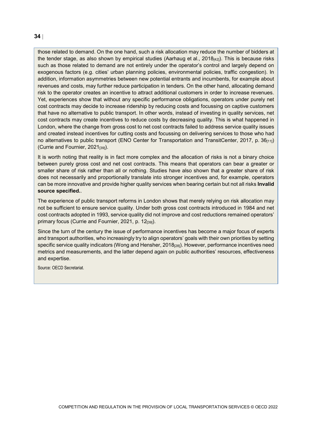those related to demand. On the one hand, such a risk allocation may reduce the number of bidders at the tender stage, as also shown by empirical studies (Aarhaug et al., 2018 $\mu$ <sub>21</sub>). This is because risks such as those related to demand are not entirely under the operator's control and largely depend on exogenous factors (e.g. cities' urban planning policies, environmental policies, traffic congestion). In addition, information asymmetries between new potential entrants and incumbents, for example about revenues and costs, may further reduce participation in tenders. On the other hand, allocating demand risk to the operator creates an incentive to attract additional customers in order to increase revenues. Yet, experiences show that without any specific performance obligations, operators under purely net cost contracts may decide to increase ridership by reducing costs and focussing on captive customers that have no alternative to public transport. In other words, instead of investing in quality services, net cost contracts may create incentives to reduce costs by decreasing quality. This is what happened in London, where the change from gross cost to net cost contracts failed to address service quality issues and created instead incentives for cutting costs and focussing on delivering services to those who had no alternatives to public transport (ENO Center for Transportation and TransitCenter, 2017, p.  $36_{[11]}$ ) (Currie and Fournier,  $2021_{[39]}$ ).

It is worth noting that reality is in fact more complex and the allocation of risks is not a binary choice between purely gross cost and net cost contracts. This means that operators can bear a greater or smaller share of risk rather than all or nothing. Studies have also shown that a greater share of risk does not necessarily and proportionally translate into stronger incentives and, for example, operators can be more innovative and provide higher quality services when bearing certain but not all risks **Invalid source specified.**.

The experience of public transport reforms in London shows that merely relying on risk allocation may not be sufficient to ensure service quality. Under both gross cost contracts introduced in 1984 and net cost contracts adopted in 1993, service quality did not improve and cost reductions remained operators' primary focus (Currie and Fournier, 2021, p. 12<sub>[39]</sub>).

Since the turn of the century the issue of performance incentives has become a major focus of experts and transport authorities, who increasingly try to align operators' goals with their own priorities by setting specific service quality indicators (Wong and Hensher, 2018<sub>[28]</sub>). However, performance incentives need metrics and measurements, and the latter depend again on public authorities' resources, effectiveness and expertise.

Source: OECD Secretariat.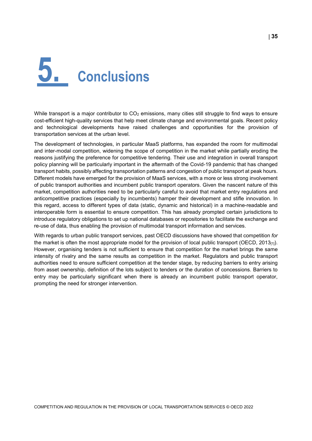# <span id="page-34-0"></span>**5. Conclusions**

While transport is a major contributor to  $CO<sub>2</sub>$  emissions, many cities still struggle to find ways to ensure cost-efficient high-quality services that help meet climate change and environmental goals. Recent policy and technological developments have raised challenges and opportunities for the provision of transportation services at the urban level.

The development of technologies, in particular MaaS platforms, has expanded the room for multimodal and inter-modal competition, widening the scope of competition in the market while partially eroding the reasons justifying the preference for competitive tendering. Their use and integration in overall transport policy planning will be particularly important in the aftermath of the Covid-19 pandemic that has changed transport habits, possibly affecting transportation patterns and congestion of public transport at peak hours. Different models have emerged for the provision of MaaS services, with a more or less strong involvement of public transport authorities and incumbent public transport operators. Given the nascent nature of this market, competition authorities need to be particularly careful to avoid that market entry regulations and anticompetitive practices (especially by incumbents) hamper their development and stifle innovation. In this regard, access to different types of data (static, dynamic and historical) in a machine-readable and interoperable form is essential to ensure competition. This has already prompted certain jurisdictions to introduce regulatory obligations to set up national databases or repositories to facilitate the exchange and re-use of data, thus enabling the provision of multimodal transport information and services.

With regards to urban public transport services, past OECD discussions have showed that competition *for*  the market is often the most appropriate model for the provision of local public transport (OECD,  $2013_{[1]}$ ). However, organising tenders is not sufficient to ensure that competition for the market brings the same intensity of rivalry and the same results as competition in the market. Regulators and public transport authorities need to ensure sufficient competition at the tender stage, by reducing barriers to entry arising from asset ownership, definition of the lots subject to tenders or the duration of concessions. Barriers to entry may be particularly significant when there is already an incumbent public transport operator, prompting the need for stronger intervention.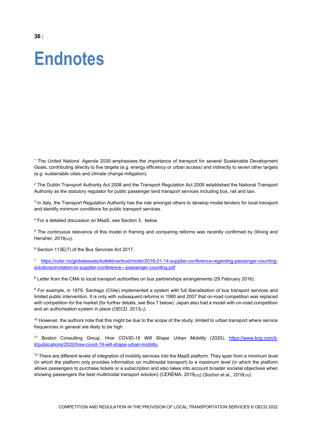<span id="page-35-0"></span>**Endnotes**

<span id="page-35-1"></span><sup>1</sup> The United Nations' Agenda 2030 emphasises the importance of transport for several Sustainable Development Goals, contributing directly to five targets (e.g. energy efficiency or urban access) and indirectly to seven other targets (e.g. sustainable cities and climate change mitigation).

<span id="page-35-2"></span> $2$  The Dublin Transport Authority Act 2008 and the Transport Regulation Act 2009 established the National Transport Authority as the statutory regulator for public passenger land transport services including bus, rail and taxi.

<span id="page-35-3"></span><sup>3</sup> In Italy, the Transport Regulation Authority has the role amongst others to develop model tenders for local transport and identify minimum conditions for public transport services.

<span id="page-35-4"></span><sup>4</sup> For a detailed discussion on MaaS, see Sectio[n 3.](#page-12-0) below.

<span id="page-35-5"></span><sup>5</sup> The continuous relevance of this model in framing and comparing reforms was recently confirmed by (Wong and Hensher, 2018[43]).

<span id="page-35-6"></span><sup>6</sup> Section 113E(7) of the Bus Services Act 2017.

<span id="page-35-7"></span><sup>7</sup> [https://ruter.no/globalassets/kollektivanbud/moter/2016-01-14-supplier-conference-regarding-passenger-counting](https://ruter.no/globalassets/kollektivanbud/moter/2016-01-14-supplier-conference-regarding-passenger-counting-solutions/invitation-to-supplier-conference---passenger-counting.pdf)[solutions/invitation-to-supplier-conference---passenger-counting.pdf](https://ruter.no/globalassets/kollektivanbud/moter/2016-01-14-supplier-conference-regarding-passenger-counting-solutions/invitation-to-supplier-conference---passenger-counting.pdf)

<span id="page-35-8"></span><sup>8</sup> Letter from the CMA to local transport authorities on bus partnerships arrangements (29 February 2016).

<span id="page-35-9"></span><sup>9</sup> For example, in 1979, Santiago (Chile) implemented a system with full liberalisation of bus transport services and limited public intervention. It is only with subsequent reforms in 1990 and 2007 that on-road competition was replaced with competition *for* the market (for further details, see [Box](#page-24-1) 7 below). Japan also had a model with on-road competition and an authorisation system in place (OECD,  $2013_{[1]}$ ).

<span id="page-35-10"></span> $10$  However, the authors note that this might be due to the scope of the study, limited to urban transport where service frequencies in general are likely to be high.

<span id="page-35-11"></span><sup>11</sup> Boston Consulting Group, *How COVID-19 Will Shape Urban Mobility* (2020), [https://www.bcg.com/it](https://www.bcg.com/it-it/publications/2020/how-covid-19-will-shape-urban-mobility)[it/publications/2020/how-covid-19-will-shape-urban-mobility.](https://www.bcg.com/it-it/publications/2020/how-covid-19-will-shape-urban-mobility)

<span id="page-35-12"></span> $12$  There are different levels of integration of mobility services into the MaaS platform. They span from a minimum level (in which the platform only provides information on multimodal transport) to a maximum level (in which the platform allows passengers to purchase tickets or a subscription and also takes into account broader societal objectives when showing passengers the best multimodal transport solution) (CEREMA, 2019<sub>[20]</sub>) (Sochor et al., 2018<sub>[19]</sub>).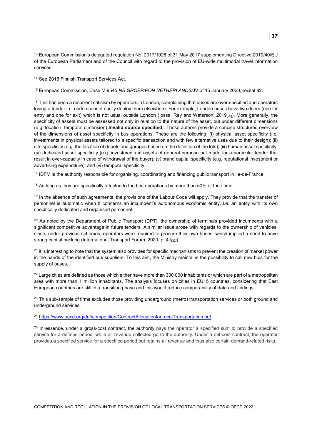<span id="page-36-0"></span><sup>13</sup> European Commission's delegated regulation No. 2017/1926 of 31 May 2017 supplementing Directive 2010/40/EU of the European Parliament and of the Council with regard to the provision of EU-wide multimodal travel information services.

<span id="page-36-1"></span><sup>14</sup> See 2018 Finnish Transport Services Act.

<span id="page-36-2"></span><sup>15</sup> European Commission, Case M.9545 *NS GROEP/PON NETHERLANDS/*JV of 15 January 2020, recital 82.

<span id="page-36-3"></span> $16$  This has been a recurrent criticism by operators in London, complaining that buses are over-specified and operators losing a tender in London cannot easily deploy them elsewhere. For example, London buses have two doors (one for entry and one for exit) which is not usual outside London (lossa, Rey and Waterson, 2019<sub>[26]</sub>). More generally, the specificity of assets must be assessed not only in relation to the nature of the asset, but under different dimensions (e.g. location, temporal dimension) **Invalid source specified.**. These authors provide a concise structured overview of the dimensions of asset specificity in bus operations. These are the following: (i) physical asset specificity (i.e. investments in physical assets tailored to a specific transaction and with few alternative uses due to their design); (ii) site specificity (e.g. the location of depots and garages based on the definition of the lots); (iii) human asset specificity, (iv) dedicated asset specificity (e.g. investments in assets of general purpose but made for a particular tender that result in over-capacity in case of withdrawal of the buyer); (v) brand capital specificity (e.g. reputational investment or advertising expenditure); and (vi) temporal specificity.

<span id="page-36-4"></span><sup>17</sup> IDFM is the authority responsible for organising, coordinating and financing public transport in Ile-de-France.

<span id="page-36-5"></span><sup>18</sup> As long as they are specifically affected to the bus operations by more than 50% of their time.

<span id="page-36-6"></span> $19$  In the absence of such agreements, the provisions of the Labour Code will apply. They provide that the transfer of personnel is automatic when it concerns an incumbent's autonomous economic entity, i.e. an entity with its own specifically dedicated and organised personnel.

<span id="page-36-7"></span><sup>20</sup> As noted by the Department of Public Transport (DPT), the ownership of terminals provided incumbents with a significant competitive advantage in future tenders. A similar issue arose with regards to the ownership of vehicles, since, under previous schemes, operators were required to procure their own buses, which implied a need to have strong capital backing (International Transport Forum, 2020, p. 41<sup>[32]</sup>).

<span id="page-36-8"></span><sup>21</sup> It is interesting to note that the system also provides for specific mechanisms to prevent the creation of market power in the hands of the identified bus suppliers. To this aim, the Ministry maintains the possibility to call new bids for the supply of buses.

<span id="page-36-9"></span> $22$  Large cities are defined as those which either have more than 300 000 inhabitants or which are part of a metropolitan area with more than 1 million inhabitants. The analysis focuses on cities in EU15 countries, considering that East European countries are still in a transition phase and this would reduce comparability of data and findings.

<span id="page-36-10"></span><sup>23</sup> This sub-sample of firms excludes those providing underground (metro) transportation services or both ground and underground services.

<span id="page-36-11"></span><sup>24</sup> [https://www.oecd.org/daf/competition/ContractAllocationforLocalTransportation.pdf.](https://www.oecd.org/daf/competition/ContractAllocationforLocalTransportation.pdf)

<span id="page-36-12"></span> $25$  In essence, under a gross-cost contract, the authority pays the operator a specified sum to provide a specified service for a defined period, while all revenue collected go to the authority. Under a net-cost contract, the operator provides a specified service for a specified period but retains all revenue and thus also certain demand-related risks.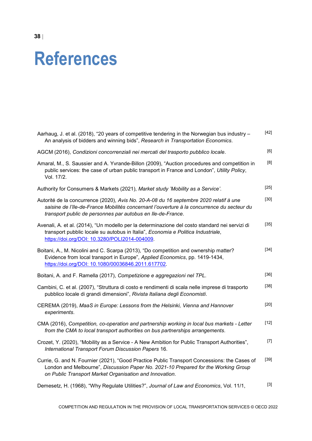### <span id="page-37-0"></span>**References**

| Aarhaug, J. et al. (2018), "20 years of competitive tendering in the Norwegian bus industry -<br>An analysis of bidders and winning bids", Research in Transportation Economics.                                                                    | $[42]$ |
|-----------------------------------------------------------------------------------------------------------------------------------------------------------------------------------------------------------------------------------------------------|--------|
| AGCM (2016), Condizioni concorrenziali nei mercati del trasporto pubblico locale.                                                                                                                                                                   | [6]    |
| Amaral, M., S. Saussier and A. Yvrande-Billon (2009), "Auction procedures and competition in<br>public services: the case of urban public transport in France and London", Utility Policy,<br>Vol. 17/2.                                            | [8]    |
| Authority for Consumers & Markets (2021), Market study 'Mobility as a Service'.                                                                                                                                                                     | $[25]$ |
| Autorité de la concurrence (2020), Avis No. 20-A-08 du 16 septembre 2020 relatif à une<br>saisine de l'Ile-de-France Mobilités concernant l'ouverture à la concurrence du secteur du<br>transport public de personnes par autobus en Ile-de-France. | $[30]$ |
| Avenali, A. et al. (2014), "Un modello per la determinazione del costo standard nei servizi di<br>transport pubblic locale su autobus in Italia", Economia e Politica Industriale,<br>https://doi.org/DOI: 10.3280/POLI2014-004009.                 | $[35]$ |
| Boitani, A., M. Nicolini and C. Scarpa (2013), "Do competition and ownership matter?<br>Evidence from local transport in Europe", Applied Economics, pp. 1419-1434,<br>https://doi.org/DOI: 10.1080/00036846.2011.617702.                           | [34]   |
| Boitani, A. and F. Ramella (2017), Competizione e aggregazioni nel TPL.                                                                                                                                                                             | $[36]$ |
| Cambini, C. et al. (2007), "Struttura di costo e rendimenti di scala nelle imprese di trasporto<br>pubblico locale di grandi dimensioni", Rivista Italiana degli Economisti.                                                                        | $[38]$ |
| CEREMA (2019), MaaS in Europe: Lessons from the Helsinki, Vienna and Hannover<br>experiments.                                                                                                                                                       | $[20]$ |
| CMA (2016), Competition, co-operation and partnership working in local bus markets - Letter<br>from the CMA to local transport authorities on bus partnerships arrangements.                                                                        | $[12]$ |
| Crozet, Y. (2020), "Mobility as a Service - A New Ambition for Public Transport Authorities",<br>International Transport Forum Discussion Papers 16.                                                                                                | $[7]$  |
| Currie, G. and N. Fournier (2021), "Good Practice Public Transport Concessions: the Cases of<br>London and Melbourne", Discussion Paper No. 2021-10 Prepared for the Working Group<br>on Public Transport Market Organisation and Innovation.       | $[39]$ |
| Demesetz, H. (1968), "Why Regulate Utilities?", Journal of Law and Economics, Vol. 11/1,                                                                                                                                                            | $[3]$  |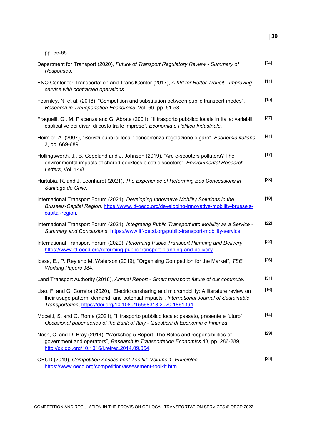pp. 55-65.

| Department for Transport (2020), Future of Transport Regulatory Review - Summary of<br>Responses.                                                                                                                                                              | $[24]$ |
|----------------------------------------------------------------------------------------------------------------------------------------------------------------------------------------------------------------------------------------------------------------|--------|
| ENO Center for Transportation and TransitCenter (2017), A bld for Better Transit - Improving<br>service with contracted operations.                                                                                                                            | $[11]$ |
| Fearnley, N. et al. (2018), "Competition and substitution between public transport modes",<br>Research in Transportation Economics, Vol. 69, pp. 51-58.                                                                                                        | $[15]$ |
| Fraquelli, G., M. Piacenza and G. Abrate (2001), "Il trasporto pubblico locale in Italia: variabili<br>esplicative dei divari di costo tra le imprese", Economia e Politica Industriale.                                                                       | $[37]$ |
| Heimler, A. (2007), "Servizi pubblici locali: concorrenza regolazione e gare", Economia italiana<br>3, pp. 669-689.                                                                                                                                            | $[41]$ |
| Hollingsworth, J., B. Copeland and J. Johnson (2019), "Are e-scooters polluters? The<br>environmental impacts of shared dockless electric scooters", Environmental Research<br>Letters, Vol. 14/8.                                                             | $[17]$ |
| Hurtubia, R. and J. Leonhardt (2021), The Experience of Reforming Bus Concessions in<br>Santiago de Chile.                                                                                                                                                     | $[33]$ |
| International Transport Forum (2021), Developing Innovative Mobility Solutions in the<br>Brussels-Capital Region, https://www.itf-oecd.org/developing-innovative-mobility-brussels-<br>capital-region.                                                         | $[18]$ |
| International Transport Forum (2021), Integrating Public Transport into Mobility as a Service -<br>Summary and Conclusions, https://www.itf-oecd.org/public-transport-mobility-service.                                                                        | $[22]$ |
| International Transport Forum (2020), Reforming Public Transport Planning and Delivery,<br>https://www.itf-oecd.org/reforming-public-transport-planning-and-delivery.                                                                                          | $[32]$ |
| lossa, E., P. Rey and M. Waterson (2019), "Organising Competition for the Market", TSE<br><b>Working Papers 984.</b>                                                                                                                                           | $[26]$ |
| Land Transport Authority (2018), Annual Report - Smart transport: future of our commute.                                                                                                                                                                       | $[31]$ |
| Liao, F. and G. Correira (2020), "Electric carsharing and micromobility: A literature review on<br>their usage pattern, demand, and potential impacts", International Journal of Sustainable<br>Transportation, https://doi.org/10.1080/15568318.2020.1861394. | $[16]$ |
| Mocetti, S. and G. Roma (2021), "Il trasporto pubblico locale: passato, presente e futuro",<br>Occasional paper series of the Bank of Italy - Questioni di Economia e Finanza.                                                                                 | $[14]$ |
| Nash, C. and D. Bray (2014), "Workshop 5 Report: The Roles and responsibilities of<br>government and operators", Research in Transportation Economics 48, pp. 286-289,<br>http://dx.doi.org/10.1016/j.retrec.2014.09.054.                                      | $[29]$ |
| OECD (2019), Competition Assessment Toolkit: Volume 1. Principles,<br>https://www.oecd.org/competition/assessment-toolkit.htm.                                                                                                                                 | $[23]$ |